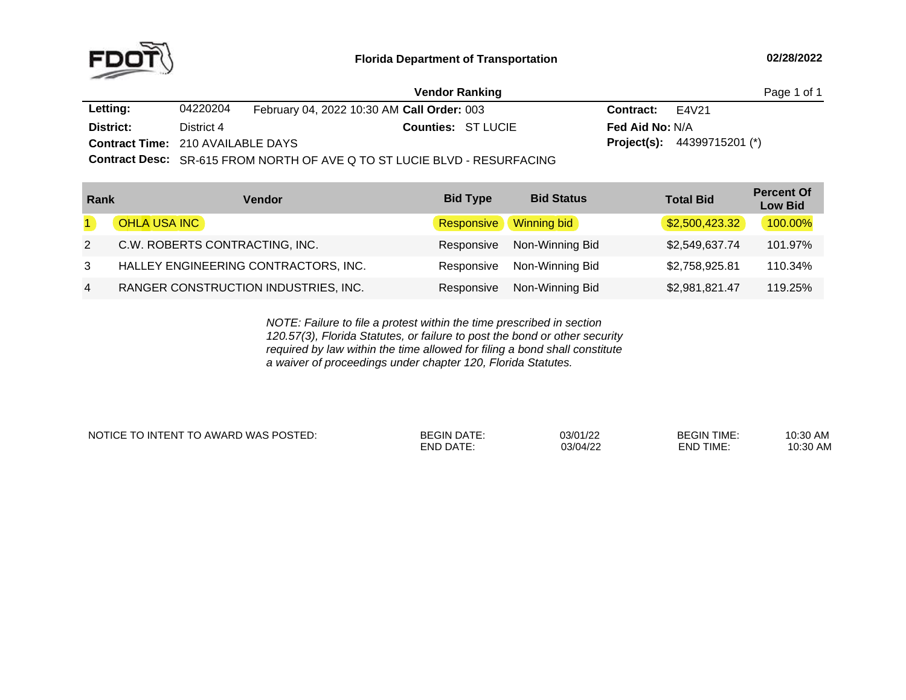

|                                          |            | <b>Vendor Ranking</b>                      |                        | Page 1 of 1                          |  |
|------------------------------------------|------------|--------------------------------------------|------------------------|--------------------------------------|--|
| Letting:                                 | 04220204   | February 04, 2022 10:30 AM Call Order: 003 | <b>Contract:</b> E4V21 |                                      |  |
| District:                                | District 4 | <b>Counties: ST LUCIE</b>                  | <b>Fed Aid No: N/A</b> |                                      |  |
| <b>Contract Time: 210 AVAILABLE DAYS</b> |            |                                            |                        | <b>Project(s):</b> $44399715201$ (*) |  |
|                                          |            |                                            |                        |                                      |  |

**Contract Desc:** SR-615 FROM NORTH OF AVE <sup>Q</sup> TO ST LUCIE BLVD - RESURFACING

| Rank           | Vendor                               | <b>Bid Type</b> | <b>Bid Status</b>  | <b>Total Bid</b> | <b>Percent Of</b><br><b>Low Bid</b> |
|----------------|--------------------------------------|-----------------|--------------------|------------------|-------------------------------------|
|                | OHLA USA INC                         | Responsive      | <b>Winning bid</b> | \$2,500,423.32   | 100.00%                             |
| 2              | C.W. ROBERTS CONTRACTING, INC.       | Responsive      | Non-Winning Bid    | \$2,549,637.74   | 101.97%                             |
| $\mathbf{3}$   | HALLEY ENGINEERING CONTRACTORS, INC. | Responsive      | Non-Winning Bid    | \$2,758,925.81   | 110.34%                             |
| $\overline{4}$ | RANGER CONSTRUCTION INDUSTRIES, INC. | Responsive      | Non-Winning Bid    | \$2,981,821.47   | 119.25%                             |

*NOTE: Failure to file <sup>a</sup> protest within the time prescribed in section 120.57(3), Florida Statutes, or failure to post the bond or other security required by law within the time allowed for filing <sup>a</sup> bond shall constitute a waiver of proceedings under chapter 120, Florida Statutes.*

NOTICE TO INTENT TO AWARD WAS POSTED:

| <b>BEGIN DATE:</b> | 03/01/22 | <b>BEGIN TIME:</b> | 10:30 AM |
|--------------------|----------|--------------------|----------|
| END DATE:          | 03/04/22 | END TIME:          | 10:30 AM |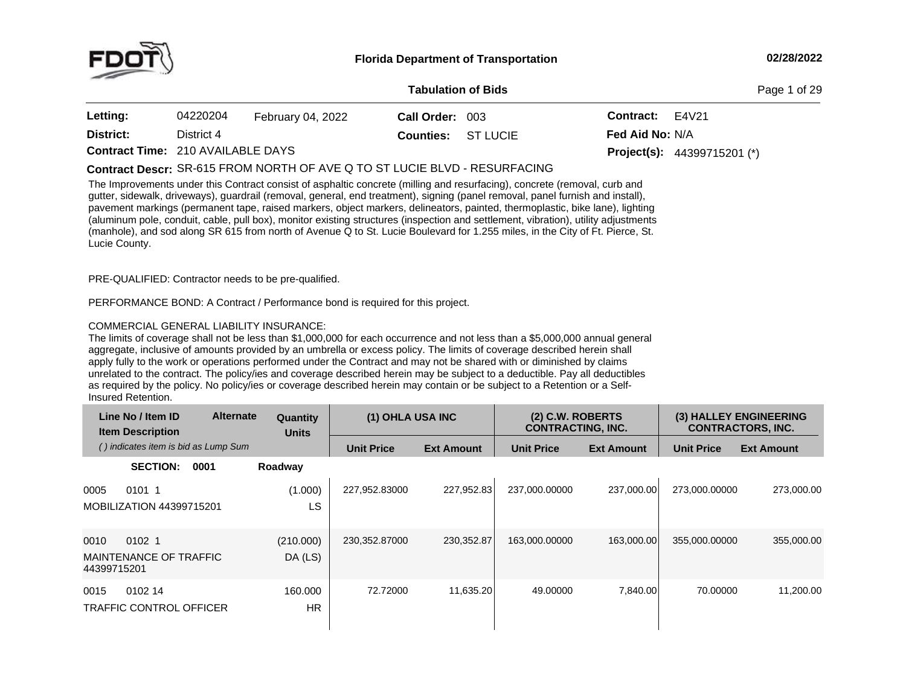

**of Bids** Page <sup>1</sup> of <sup>29</sup>

| <b>Letting:</b>                          | 04220204   | February 04, 2022 | Call Order: 003           | <b>Contract:</b> E4V21 |                                      |
|------------------------------------------|------------|-------------------|---------------------------|------------------------|--------------------------------------|
| District:                                | District 4 |                   | <b>Counties: ST LUCIE</b> | <b>Fed Aid No: N/A</b> |                                      |
| <b>Contract Time: 210 AVAILABLE DAYS</b> |            |                   |                           |                        | <b>Project(s):</b> $44399715201$ (*) |

# SR-615 FROM NORTH OF AVE <sup>Q</sup> TO ST LUCIE BLVD - RESURFACING **Contract Descr:**

The Improvements under this Contract consist of asphaltic concrete (milling and resurfacing), concrete (removal, curb and gutter, sidewalk, driveways), guardrail (removal, general, end treatment), signing (panel removal, panel furnish and install), pavement markings (permanent tape, raised markers, object markers, delineators, painted, thermoplastic, bike lane), lighting (aluminum pole, conduit, cable, pull box), monitor existing structures (inspection and settlement, vibration), utility adjustments (manhole), and sod along SR <sup>615</sup> from north of Avenue <sup>Q</sup> to St. Lucie Boulevard for 1.255 miles, in the City of Ft. Pierce, St. Lucie County.

PRE-QUALIFIED: Contractor needs to be pre-qualified.

PERFORMANCE BOND: <sup>A</sup> Contract / Performance bond is required for this project.

# COMMERCIAL GENERAL LIABILITY INSURANCE:

The limits of coverage shall not be less than \$1,000,000 for each occurrence and not less than <sup>a</sup> \$5,000,000 annual general aggregate, inclusive of amounts provided by an umbrella or excess policy. The limits of coverage described herein shall apply fully to the work or operations performed under the Contract and may not be shared with or diminished by claims unrelated to the contract. The policy/ies and coverage described herein may be subject to <sup>a</sup> deductible. Pay all deductibles as required by the policy. No policy/ies or coverage described herein may contain or be subject to a Retention or a Self-<br>Insured Retention. Insured Retention.

| Line No / Item ID<br><b>Item Description</b>                       | <b>Alternate</b> | Quantity<br><b>Units</b> | (1) OHLA USA INC  |                   | $(2)$ C.W. ROBERTS<br><b>CONTRACTING, INC.</b> |                   |                   | (3) HALLEY ENGINEERING<br><b>CONTRACTORS, INC.</b> |
|--------------------------------------------------------------------|------------------|--------------------------|-------------------|-------------------|------------------------------------------------|-------------------|-------------------|----------------------------------------------------|
| () indicates item is bid as Lump Sum                               |                  |                          | <b>Unit Price</b> | <b>Ext Amount</b> | <b>Unit Price</b>                              | <b>Ext Amount</b> | <b>Unit Price</b> | <b>Ext Amount</b>                                  |
| <b>SECTION:</b>                                                    | 0001             | Roadway                  |                   |                   |                                                |                   |                   |                                                    |
| 0101 1<br>0005<br><b>MOBILIZATION 44399715201</b>                  |                  | (1.000)<br>LS            | 227,952.83000     | 227,952.83        | 237,000.00000                                  | 237,000.00        | 273.000.00000     | 273,000.00                                         |
| 0010<br>0102 <sub>1</sub><br>MAINTENANCE OF TRAFFIC<br>44399715201 |                  | (210.000)<br>DA(LS)      | 230,352.87000     | 230, 352.87       | 163,000.00000                                  | 163.000.00        | 355,000.00000     | 355,000.00                                         |
| 0102 14<br>0015<br><b>TRAFFIC CONTROL OFFICER</b>                  |                  | 160,000<br><b>HR</b>     | 72.72000          | 11,635.20         | 49,00000                                       | 7.840.00          | 70,00000          | 11.200.00                                          |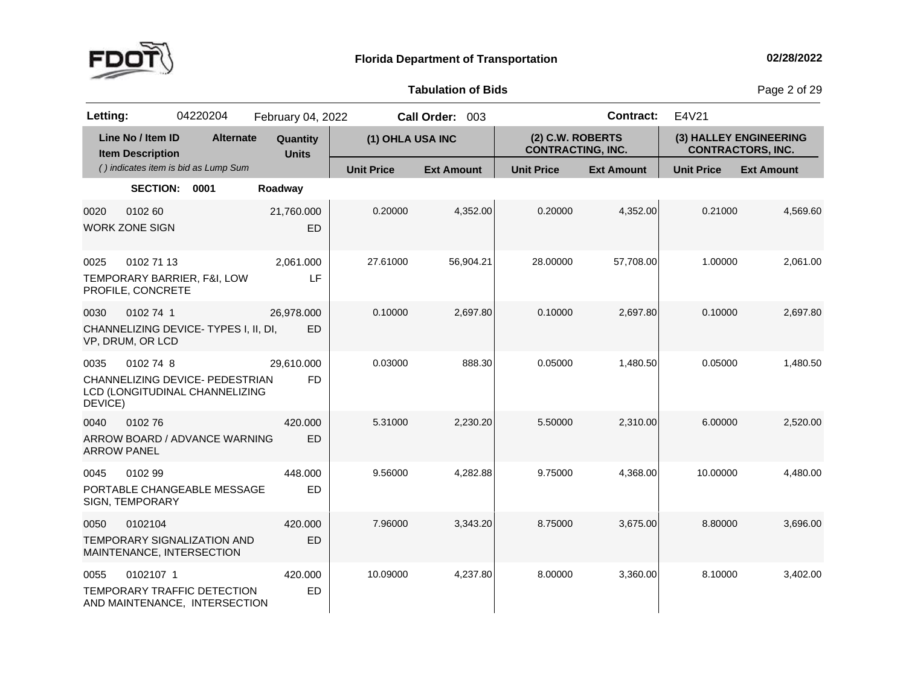

**Tabulation**

**of Bids** Page <sup>2</sup> of <sup>29</sup>

| Letting:                   |                                              | 04220204                                                          | February 04, 2022        |                   | Call Order: 003   |                                              | <b>Contract:</b>  | E4V21             |                                                    |
|----------------------------|----------------------------------------------|-------------------------------------------------------------------|--------------------------|-------------------|-------------------|----------------------------------------------|-------------------|-------------------|----------------------------------------------------|
|                            | Line No / Item ID<br><b>Item Description</b> | <b>Alternate</b>                                                  | Quantity<br><b>Units</b> | (1) OHLA USA INC  |                   | (2) C.W. ROBERTS<br><b>CONTRACTING, INC.</b> |                   |                   | (3) HALLEY ENGINEERING<br><b>CONTRACTORS, INC.</b> |
|                            |                                              | () indicates item is bid as Lump Sum                              |                          | <b>Unit Price</b> | <b>Ext Amount</b> | <b>Unit Price</b>                            | <b>Ext Amount</b> | <b>Unit Price</b> | <b>Ext Amount</b>                                  |
|                            | <b>SECTION:</b>                              | 0001                                                              | Roadway                  |                   |                   |                                              |                   |                   |                                                    |
| 0020                       | 0102 60<br><b>WORK ZONE SIGN</b>             |                                                                   | 21,760.000<br>ED         | 0.20000           | 4,352.00          | 0.20000                                      | 4,352.00          | 0.21000           | 4,569.60                                           |
| 0025                       | 0102 71 13<br>PROFILE, CONCRETE              | TEMPORARY BARRIER, F&I, LOW                                       | 2,061.000<br>LF          | 27.61000          | 56,904.21         | 28.00000                                     | 57,708.00         | 1.00000           | 2,061.00                                           |
| 0030                       | 0102 74 1<br>VP, DRUM, OR LCD                | CHANNELIZING DEVICE-TYPES I, II, DI,                              | 26,978.000<br>ED         | 0.10000           | 2,697.80          | 0.10000                                      | 2,697.80          | 0.10000           | 2,697.80                                           |
| 0035<br>DEVICE)            | 0102 74 8                                    | CHANNELIZING DEVICE- PEDESTRIAN<br>LCD (LONGITUDINAL CHANNELIZING | 29,610.000<br><b>FD</b>  | 0.03000           | 888.30            | 0.05000                                      | 1,480.50          | 0.05000           | 1,480.50                                           |
| 0040<br><b>ARROW PANEL</b> | 010276                                       | ARROW BOARD / ADVANCE WARNING                                     | 420,000<br>ED            | 5.31000           | 2,230.20          | 5.50000                                      | 2,310.00          | 6.00000           | 2,520.00                                           |
| 0045                       | 0102 99<br>SIGN, TEMPORARY                   | PORTABLE CHANGEABLE MESSAGE                                       | 448.000<br>ED            | 9.56000           | 4,282.88          | 9.75000                                      | 4,368.00          | 10.00000          | 4,480.00                                           |
| 0050                       | 0102104                                      | TEMPORARY SIGNALIZATION AND<br>MAINTENANCE, INTERSECTION          | 420.000<br>ED            | 7.96000           | 3,343.20          | 8.75000                                      | 3,675.00          | 8.80000           | 3,696.00                                           |
| 0055                       | 0102107 1                                    | TEMPORARY TRAFFIC DETECTION<br>AND MAINTENANCE, INTERSECTION      | 420.000<br>ED            | 10.09000          | 4,237.80          | 8.00000                                      | 3,360.00          | 8.10000           | 3,402.00                                           |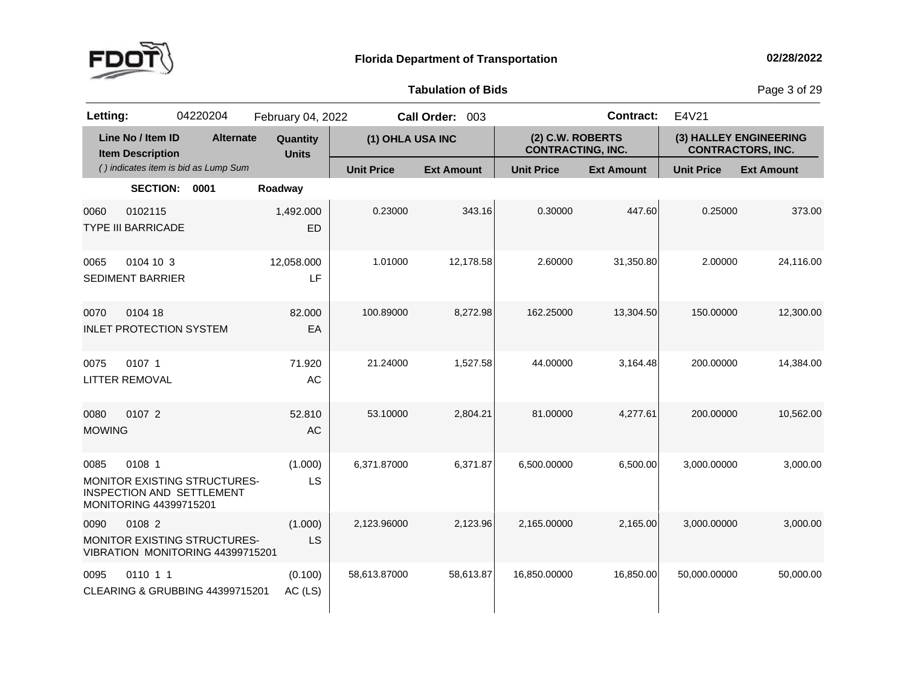

**of Bids** Page <sup>3</sup> of <sup>29</sup>

| Letting:              |                                              | 04220204                                                                | February 04, 2022        |                   | Call Order: 003   |                                              | <b>Contract:</b>  | E4V21                    |                        |
|-----------------------|----------------------------------------------|-------------------------------------------------------------------------|--------------------------|-------------------|-------------------|----------------------------------------------|-------------------|--------------------------|------------------------|
|                       | Line No / Item ID<br><b>Item Description</b> | <b>Alternate</b>                                                        | Quantity<br><b>Units</b> | (1) OHLA USA INC  |                   | (2) C.W. ROBERTS<br><b>CONTRACTING, INC.</b> |                   | <b>CONTRACTORS, INC.</b> | (3) HALLEY ENGINEERING |
|                       |                                              | () indicates item is bid as Lump Sum                                    |                          | <b>Unit Price</b> | <b>Ext Amount</b> | <b>Unit Price</b>                            | <b>Ext Amount</b> | <b>Unit Price</b>        | <b>Ext Amount</b>      |
|                       | <b>SECTION:</b>                              | 0001                                                                    | Roadway                  |                   |                   |                                              |                   |                          |                        |
| 0060                  | 0102115<br><b>TYPE III BARRICADE</b>         |                                                                         | 1,492.000<br><b>ED</b>   | 0.23000           | 343.16            | 0.30000                                      | 447.60            | 0.25000                  | 373.00                 |
| 0065                  | 0104 10 3<br><b>SEDIMENT BARRIER</b>         |                                                                         | 12,058.000<br>LF         | 1.01000           | 12,178.58         | 2.60000                                      | 31,350.80         | 2.00000                  | 24,116.00              |
| 0070                  | 0104 18<br><b>INLET PROTECTION SYSTEM</b>    |                                                                         | 82,000<br>EA             | 100.89000         | 8,272.98          | 162.25000                                    | 13,304.50         | 150.00000                | 12,300.00              |
| 0075                  | 0107 1<br><b>LITTER REMOVAL</b>              |                                                                         | 71.920<br>AC             | 21.24000          | 1,527.58          | 44.00000                                     | 3,164.48          | 200.00000                | 14,384.00              |
| 0080<br><b>MOWING</b> | 0107 2                                       |                                                                         | 52.810<br>AC             | 53.10000          | 2,804.21          | 81.00000                                     | 4,277.61          | 200.00000                | 10,562.00              |
| 0085                  | 0108 1<br>MONITORING 44399715201             | MONITOR EXISTING STRUCTURES-<br>INSPECTION AND SETTLEMENT               | (1.000)<br>LS            | 6,371.87000       | 6,371.87          | 6,500.00000                                  | 6,500.00          | 3,000.00000              | 3,000.00               |
| 0090                  | 0108 2                                       | <b>MONITOR EXISTING STRUCTURES-</b><br>VIBRATION MONITORING 44399715201 | (1.000)<br>LS            | 2,123.96000       | 2,123.96          | 2,165.00000                                  | 2,165.00          | 3,000.00000              | 3,000.00               |
| 0095                  | 0110 1 1                                     | CLEARING & GRUBBING 44399715201                                         | (0.100)<br>AC (LS)       | 58,613.87000      | 58,613.87         | 16,850.00000                                 | 16,850.00         | 50,000.00000             | 50,000.00              |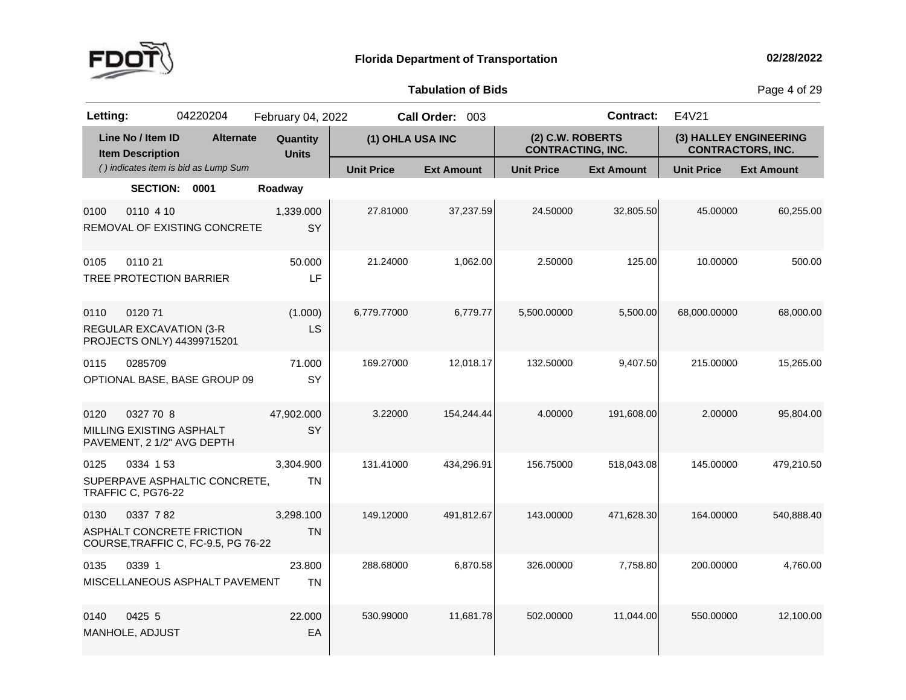

**of Bids** Page <sup>4</sup> of <sup>29</sup>

| Letting: |                                                                     | 04220204                                                         | February 04, 2022        |                   | Call Order: 003   |                                              | <b>Contract:</b>  | E4V21             |                                                    |
|----------|---------------------------------------------------------------------|------------------------------------------------------------------|--------------------------|-------------------|-------------------|----------------------------------------------|-------------------|-------------------|----------------------------------------------------|
|          | Line No / Item ID<br><b>Item Description</b>                        | <b>Alternate</b>                                                 | Quantity<br><b>Units</b> | (1) OHLA USA INC  |                   | (2) C.W. ROBERTS<br><b>CONTRACTING, INC.</b> |                   |                   | (3) HALLEY ENGINEERING<br><b>CONTRACTORS, INC.</b> |
|          |                                                                     | () indicates item is bid as Lump Sum                             |                          | <b>Unit Price</b> | <b>Ext Amount</b> | <b>Unit Price</b>                            | <b>Ext Amount</b> | <b>Unit Price</b> | <b>Ext Amount</b>                                  |
|          | <b>SECTION:</b>                                                     | 0001                                                             | Roadway                  |                   |                   |                                              |                   |                   |                                                    |
| 0100     | 0110 4 10                                                           | REMOVAL OF EXISTING CONCRETE                                     | 1,339.000<br>SY          | 27.81000          | 37,237.59         | 24.50000                                     | 32,805.50         | 45.00000          | 60,255.00                                          |
| 0105     | 0110 21<br>TREE PROTECTION BARRIER                                  |                                                                  | 50.000<br>LF             | 21.24000          | 1,062.00          | 2.50000                                      | 125.00            | 10.00000          | 500.00                                             |
| 0110     | 012071<br><b>REGULAR EXCAVATION (3-R</b>                            | PROJECTS ONLY) 44399715201                                       | (1.000)<br>LS            | 6,779.77000       | 6,779.77          | 5,500.00000                                  | 5,500.00          | 68,000.00000      | 68,000.00                                          |
| 0115     | 0285709                                                             | OPTIONAL BASE, BASE GROUP 09                                     | 71.000<br>SY             | 169.27000         | 12,018.17         | 132.50000                                    | 9,407.50          | 215.00000         | 15,265.00                                          |
| 0120     | 0327 70 8<br>MILLING EXISTING ASPHALT<br>PAVEMENT, 2 1/2" AVG DEPTH |                                                                  | 47,902.000<br>SY         | 3.22000           | 154,244.44        | 4.00000                                      | 191,608.00        | 2.00000           | 95,804.00                                          |
| 0125     | 0334 153<br>TRAFFIC C, PG76-22                                      | SUPERPAVE ASPHALTIC CONCRETE,                                    | 3,304.900<br><b>TN</b>   | 131.41000         | 434,296.91        | 156.75000                                    | 518,043.08        | 145.00000         | 479,210.50                                         |
| 0130     | 0337 782                                                            | ASPHALT CONCRETE FRICTION<br>COURSE, TRAFFIC C, FC-9.5, PG 76-22 | 3,298.100<br><b>TN</b>   | 149.12000         | 491,812.67        | 143.00000                                    | 471,628.30        | 164.00000         | 540,888.40                                         |
| 0135     | 0339 1                                                              | MISCELLANEOUS ASPHALT PAVEMENT                                   | 23.800<br><b>TN</b>      | 288.68000         | 6,870.58          | 326.00000                                    | 7.758.80          | 200.00000         | 4,760.00                                           |
| 0140     | 0425 5<br>MANHOLE, ADJUST                                           |                                                                  | 22.000<br>EA             | 530.99000         | 11,681.78         | 502.00000                                    | 11,044.00         | 550.00000         | 12,100.00                                          |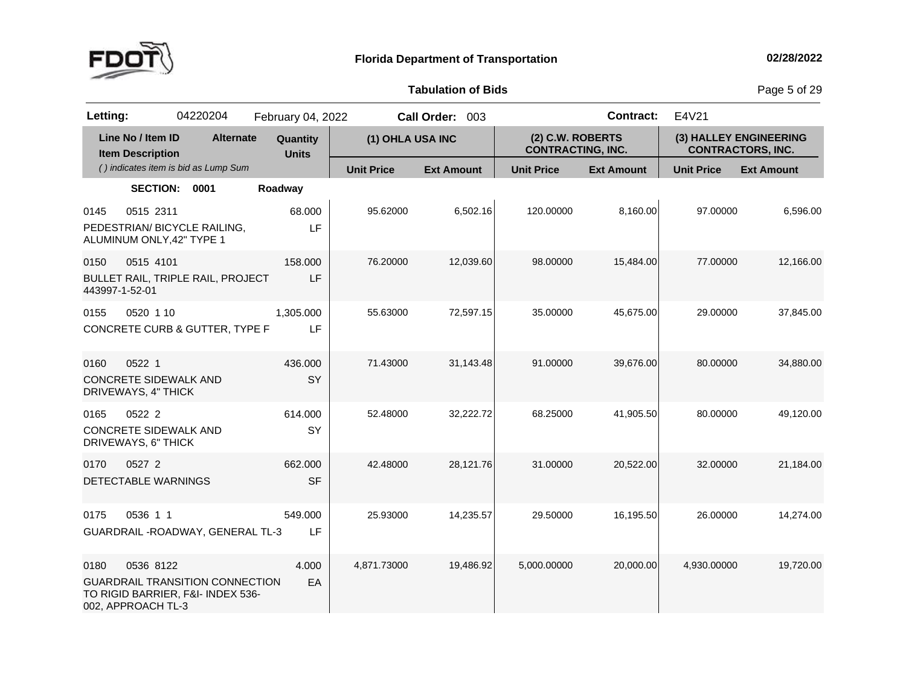

**of Bids** Page <sup>5</sup> of <sup>29</sup>

| Letting:               |                                                               | 04220204                                                                    | February 04, 2022        |                   | Call Order: 003   |                                              | <b>Contract:</b>  | E4V21                  |                          |
|------------------------|---------------------------------------------------------------|-----------------------------------------------------------------------------|--------------------------|-------------------|-------------------|----------------------------------------------|-------------------|------------------------|--------------------------|
|                        | Line No / Item ID<br><b>Item Description</b>                  | <b>Alternate</b>                                                            | Quantity<br><b>Units</b> | (1) OHLA USA INC  |                   | (2) C.W. ROBERTS<br><b>CONTRACTING, INC.</b> |                   | (3) HALLEY ENGINEERING | <b>CONTRACTORS, INC.</b> |
|                        |                                                               | () indicates item is bid as Lump Sum                                        |                          | <b>Unit Price</b> | <b>Ext Amount</b> | <b>Unit Price</b>                            | <b>Ext Amount</b> | <b>Unit Price</b>      | <b>Ext Amount</b>        |
|                        | <b>SECTION:</b>                                               | 0001                                                                        | Roadway                  |                   |                   |                                              |                   |                        |                          |
| 0145                   | 0515 2311<br>ALUMINUM ONLY, 42" TYPE 1                        | PEDESTRIAN/ BICYCLE RAILING,                                                | 68.000<br>LF             | 95.62000          | 6,502.16          | 120.00000                                    | 8,160.00          | 97.00000               | 6,596.00                 |
| 0150<br>443997-1-52-01 | 0515 4101                                                     | <b>BULLET RAIL, TRIPLE RAIL, PROJECT</b>                                    | 158,000<br>LF            | 76.20000          | 12,039.60         | 98.00000                                     | 15,484.00         | 77.00000               | 12,166.00                |
| 0155                   | 0520 1 10                                                     | CONCRETE CURB & GUTTER, TYPE F                                              | 1,305.000<br>LF          | 55.63000          | 72,597.15         | 35.00000                                     | 45,675.00         | 29.00000               | 37,845.00                |
| 0160                   | 0522 1<br><b>CONCRETE SIDEWALK AND</b><br>DRIVEWAYS, 4" THICK |                                                                             | 436.000<br>SY            | 71.43000          | 31,143.48         | 91.00000                                     | 39.676.00         | 80.00000               | 34.880.00                |
| 0165                   | 0522 2<br><b>CONCRETE SIDEWALK AND</b><br>DRIVEWAYS, 6" THICK |                                                                             | 614.000<br>SY            | 52.48000          | 32,222.72         | 68.25000                                     | 41,905.50         | 80.00000               | 49,120.00                |
| 0170                   | 0527 2<br>DETECTABLE WARNINGS                                 |                                                                             | 662.000<br><b>SF</b>     | 42.48000          | 28,121.76         | 31.00000                                     | 20,522.00         | 32.00000               | 21,184.00                |
| 0175                   | 0536 1 1                                                      | GUARDRAIL - ROADWAY, GENERAL TL-3                                           | 549.000<br>LF            | 25.93000          | 14,235.57         | 29.50000                                     | 16,195.50         | 26.00000               | 14,274.00                |
| 0180                   | 0536 8122<br>002, APPROACH TL-3                               | <b>GUARDRAIL TRANSITION CONNECTION</b><br>TO RIGID BARRIER, F&I- INDEX 536- | 4.000<br>EA              | 4,871.73000       | 19,486.92         | 5,000.00000                                  | 20,000.00         | 4,930.00000            | 19,720.00                |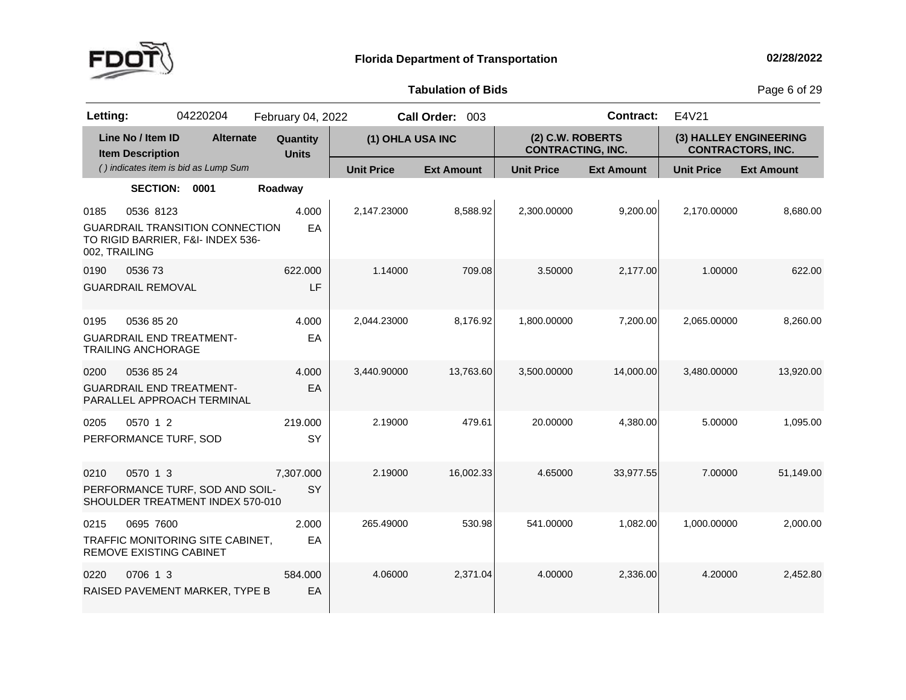

**Tabulation**

**of Bids** Page <sup>6</sup> of <sup>29</sup>

| Letting:              |                                              | 04220204                                                                    | February 04, 2022        |                   | Call Order: 003   |                                              | <b>Contract:</b>  | E4V21                                              |                   |
|-----------------------|----------------------------------------------|-----------------------------------------------------------------------------|--------------------------|-------------------|-------------------|----------------------------------------------|-------------------|----------------------------------------------------|-------------------|
|                       | Line No / Item ID<br><b>Item Description</b> | <b>Alternate</b>                                                            | Quantity<br><b>Units</b> | (1) OHLA USA INC  |                   | (2) C.W. ROBERTS<br><b>CONTRACTING, INC.</b> |                   | (3) HALLEY ENGINEERING<br><b>CONTRACTORS, INC.</b> |                   |
|                       |                                              | () indicates item is bid as Lump Sum                                        |                          | <b>Unit Price</b> | <b>Ext Amount</b> | <b>Unit Price</b>                            | <b>Ext Amount</b> | <b>Unit Price</b>                                  | <b>Ext Amount</b> |
|                       | <b>SECTION:</b>                              | 0001                                                                        | Roadway                  |                   |                   |                                              |                   |                                                    |                   |
| 0185<br>002, TRAILING | 0536 8123                                    | <b>GUARDRAIL TRANSITION CONNECTION</b><br>TO RIGID BARRIER, F&I- INDEX 536- | 4.000<br>EA              | 2,147.23000       | 8,588.92          | 2,300.00000                                  | 9,200.00          | 2,170.00000                                        | 8,680.00          |
| 0190                  | 053673<br><b>GUARDRAIL REMOVAL</b>           |                                                                             | 622.000<br>LF            | 1.14000           | 709.08            | 3.50000                                      | 2,177.00          | 1.00000                                            | 622.00            |
| 0195                  | 0536 85 20<br><b>TRAILING ANCHORAGE</b>      | <b>GUARDRAIL END TREATMENT-</b>                                             | 4.000<br>EA              | 2,044.23000       | 8,176.92          | 1,800.00000                                  | 7,200.00          | 2,065.00000                                        | 8,260.00          |
| 0200                  | 0536 85 24                                   | <b>GUARDRAIL END TREATMENT-</b><br>PARALLEL APPROACH TERMINAL               | 4.000<br>EA              | 3,440.90000       | 13,763.60         | 3,500.00000                                  | 14,000.00         | 3,480.00000                                        | 13,920.00         |
| 0205                  | 0570 1 2<br>PERFORMANCE TURF, SOD            |                                                                             | 219.000<br>SY            | 2.19000           | 479.61            | 20.00000                                     | 4,380.00          | 5.00000                                            | 1,095.00          |
| 0210                  | 0570 1 3                                     | PERFORMANCE TURF, SOD AND SOIL-<br>SHOULDER TREATMENT INDEX 570-010         | 7,307.000<br>SY          | 2.19000           | 16,002.33         | 4.65000                                      | 33,977.55         | 7.00000                                            | 51,149.00         |
| 0215                  | 0695 7600<br>REMOVE EXISTING CABINET         | TRAFFIC MONITORING SITE CABINET,                                            | 2.000<br>EA              | 265.49000         | 530.98            | 541.00000                                    | 1,082.00          | 1,000.00000                                        | 2,000.00          |
| 0220                  | 0706 1 3                                     | RAISED PAVEMENT MARKER, TYPE B                                              | 584.000<br>EA            | 4.06000           | 2,371.04          | 4.00000                                      | 2,336.00          | 4.20000                                            | 2,452.80          |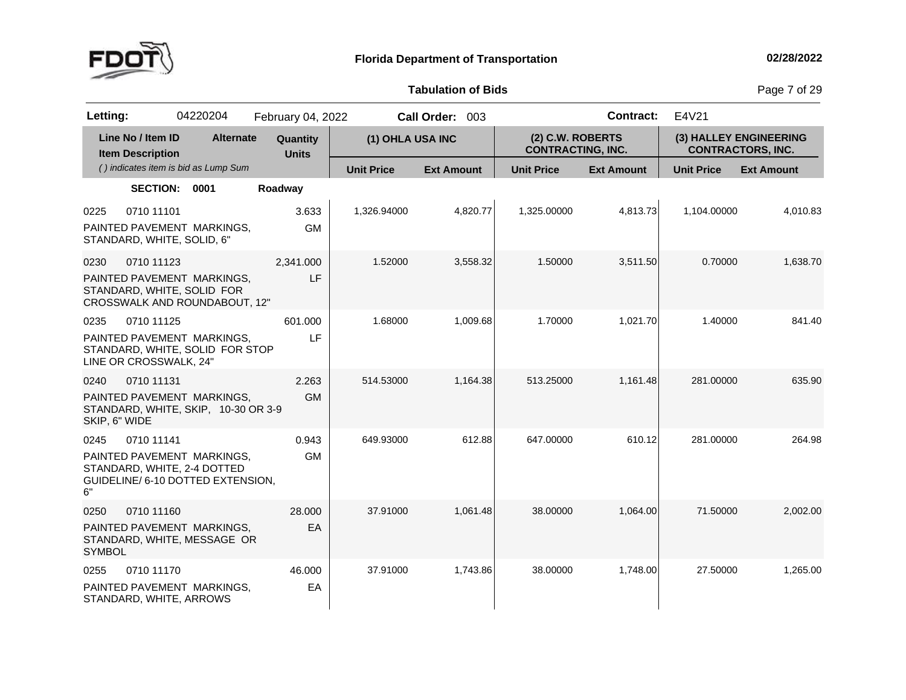

**Tabulation**

**of Bids** Page <sup>7</sup> of <sup>29</sup>

| Letting:      |                                              | 04220204                                                                                       | February 04, 2022        |                   | Call Order: 003   |                                              | <b>Contract:</b>  | E4V21                                              |                   |
|---------------|----------------------------------------------|------------------------------------------------------------------------------------------------|--------------------------|-------------------|-------------------|----------------------------------------------|-------------------|----------------------------------------------------|-------------------|
|               | Line No / Item ID<br><b>Item Description</b> | <b>Alternate</b>                                                                               | Quantity<br><b>Units</b> | (1) OHLA USA INC  |                   | (2) C.W. ROBERTS<br><b>CONTRACTING, INC.</b> |                   | (3) HALLEY ENGINEERING<br><b>CONTRACTORS, INC.</b> |                   |
|               |                                              | () indicates item is bid as Lump Sum                                                           |                          | <b>Unit Price</b> | <b>Ext Amount</b> | <b>Unit Price</b>                            | <b>Ext Amount</b> | <b>Unit Price</b>                                  | <b>Ext Amount</b> |
|               | <b>SECTION:</b>                              | 0001                                                                                           | Roadway                  |                   |                   |                                              |                   |                                                    |                   |
| 0225          | 0710 11101<br>STANDARD, WHITE, SOLID, 6"     | PAINTED PAVEMENT MARKINGS.                                                                     | 3.633<br><b>GM</b>       | 1,326.94000       | 4,820.77          | 1,325.00000                                  | 4,813.73          | 1,104.00000                                        | 4,010.83          |
| 0230          | 0710 11123                                   |                                                                                                | 2,341.000                | 1.52000           | 3,558.32          | 1.50000                                      | 3,511.50          | 0.70000                                            | 1,638.70          |
|               |                                              | PAINTED PAVEMENT MARKINGS,<br>STANDARD, WHITE, SOLID FOR<br>CROSSWALK AND ROUNDABOUT, 12"      | LF                       |                   |                   |                                              |                   |                                                    |                   |
| 0235          | 0710 11125                                   |                                                                                                | 601.000                  | 1.68000           | 1,009.68          | 1.70000                                      | 1,021.70          | 1.40000                                            | 841.40            |
|               | LINE OR CROSSWALK, 24"                       | PAINTED PAVEMENT MARKINGS,<br>STANDARD, WHITE, SOLID FOR STOP                                  | LF                       |                   |                   |                                              |                   |                                                    |                   |
| 0240          | 0710 11131                                   |                                                                                                | 2.263                    | 514.53000         | 1.164.38          | 513.25000                                    | 1.161.48          | 281.00000                                          | 635.90            |
| SKIP, 6" WIDE |                                              | PAINTED PAVEMENT MARKINGS,<br>STANDARD, WHITE, SKIP, 10-30 OR 3-9                              | <b>GM</b>                |                   |                   |                                              |                   |                                                    |                   |
| 0245          | 0710 11141                                   |                                                                                                | 0.943                    | 649.93000         | 612.88            | 647.00000                                    | 610.12            | 281.00000                                          | 264.98            |
| 6"            |                                              | PAINTED PAVEMENT MARKINGS,<br>STANDARD, WHITE, 2-4 DOTTED<br>GUIDELINE/ 6-10 DOTTED EXTENSION, | <b>GM</b>                |                   |                   |                                              |                   |                                                    |                   |
| 0250          | 0710 11160                                   |                                                                                                | 28.000                   | 37.91000          | 1,061.48          | 38.00000                                     | 1,064.00          | 71.50000                                           | 2,002.00          |
| <b>SYMBOL</b> |                                              | PAINTED PAVEMENT MARKINGS,<br>STANDARD, WHITE, MESSAGE OR                                      | EA                       |                   |                   |                                              |                   |                                                    |                   |
| 0255          | 0710 11170                                   |                                                                                                | 46.000                   | 37.91000          | 1,743.86          | 38.00000                                     | 1,748.00          | 27.50000                                           | 1,265.00          |
|               | STANDARD, WHITE, ARROWS                      | PAINTED PAVEMENT MARKINGS.                                                                     | EA                       |                   |                   |                                              |                   |                                                    |                   |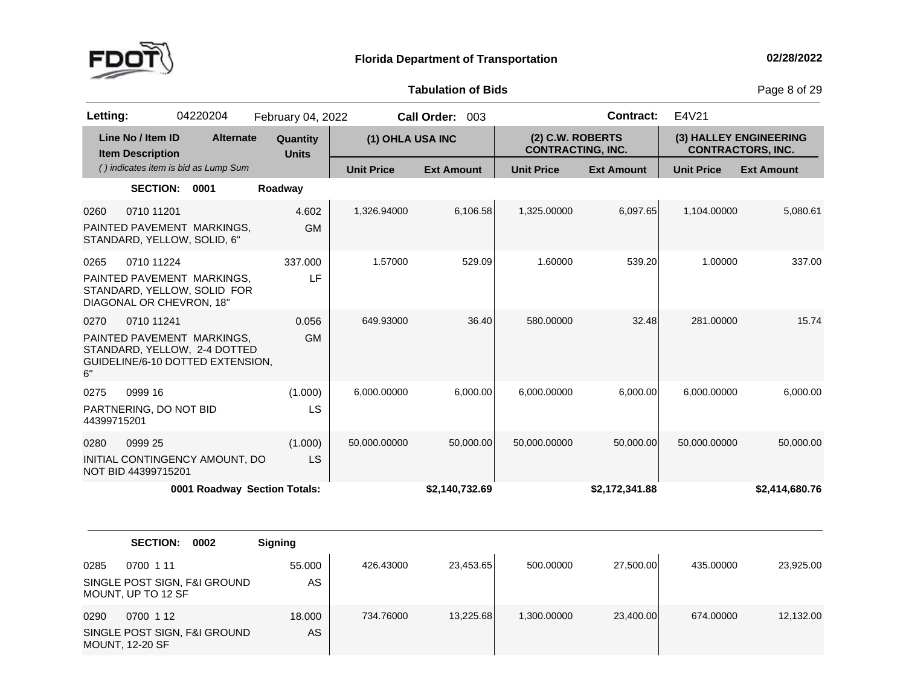

**of Bids** Page <sup>8</sup> of <sup>29</sup>

| Letting:            |                                              | 04220204                                                                                       | February 04, 2022            |                   | Call Order: 003   |                                              | <b>Contract:</b>  | E4V21             |                                                    |
|---------------------|----------------------------------------------|------------------------------------------------------------------------------------------------|------------------------------|-------------------|-------------------|----------------------------------------------|-------------------|-------------------|----------------------------------------------------|
|                     | Line No / Item ID<br><b>Item Description</b> | <b>Alternate</b>                                                                               | Quantity<br><b>Units</b>     | (1) OHLA USA INC  |                   | (2) C.W. ROBERTS<br><b>CONTRACTING, INC.</b> |                   |                   | (3) HALLEY ENGINEERING<br><b>CONTRACTORS, INC.</b> |
|                     |                                              | () indicates item is bid as Lump Sum                                                           |                              | <b>Unit Price</b> | <b>Ext Amount</b> | <b>Unit Price</b>                            | <b>Ext Amount</b> | <b>Unit Price</b> | <b>Ext Amount</b>                                  |
|                     | <b>SECTION:</b>                              | 0001                                                                                           | Roadway                      |                   |                   |                                              |                   |                   |                                                    |
| 0260                | 0710 11201<br>STANDARD, YELLOW, SOLID, 6"    | PAINTED PAVEMENT MARKINGS,                                                                     | 4.602<br><b>GM</b>           | 1,326.94000       | 6,106.58          | 1,325.00000                                  | 6,097.65          | 1,104.00000       | 5,080.61                                           |
| 0265                | 0710 11224<br>DIAGONAL OR CHEVRON, 18"       | PAINTED PAVEMENT MARKINGS,<br>STANDARD, YELLOW, SOLID FOR                                      | 337.000<br>LF                | 1.57000           | 529.09            | 1.60000                                      | 539.20            | 1.00000           | 337.00                                             |
| 0270<br>6"          | 0710 11241                                   | PAINTED PAVEMENT MARKINGS,<br>STANDARD, YELLOW, 2-4 DOTTED<br>GUIDELINE/6-10 DOTTED EXTENSION, | 0.056<br><b>GM</b>           | 649.93000         | 36.40             | 580.00000                                    | 32.48             | 281.00000         | 15.74                                              |
| 0275<br>44399715201 | 0999 16<br>PARTNERING, DO NOT BID            |                                                                                                | (1.000)<br>LS                | 6,000.00000       | 6,000.00          | 6,000.00000                                  | 6,000.00          | 6,000.00000       | 6,000.00                                           |
| 0280                | 0999 25<br>NOT BID 44399715201               | INITIAL CONTINGENCY AMOUNT, DO                                                                 | (1.000)<br>LS                | 50,000.00000      | 50,000.00         | 50,000.00000                                 | 50,000.00         | 50,000.00000      | 50,000.00                                          |
|                     |                                              |                                                                                                | 0001 Roadway Section Totals: |                   | \$2,140,732.69    |                                              | \$2,172,341.88    |                   | \$2,414,680.76                                     |
|                     | <b>SECTION:</b>                              | 0002                                                                                           | <b>Signing</b>               |                   |                   |                                              |                   |                   |                                                    |
| 0285                | 0700 1 11<br>MOUNT, UP TO 12 SF              | SINGLE POST SIGN, F&I GROUND                                                                   | 55.000<br>AS                 | 426.43000         | 23,453.65         | 500.00000                                    | 27,500.00         | 435.00000         | 23,925.00                                          |
| 0290                | 0700 1 12<br><b>MOUNT, 12-20 SF</b>          | SINGLE POST SIGN, F&I GROUND                                                                   | 18.000<br>AS                 | 734.76000         | 13,225.68         | 1,300.00000                                  | 23,400.00         | 674.00000         | 12,132.00                                          |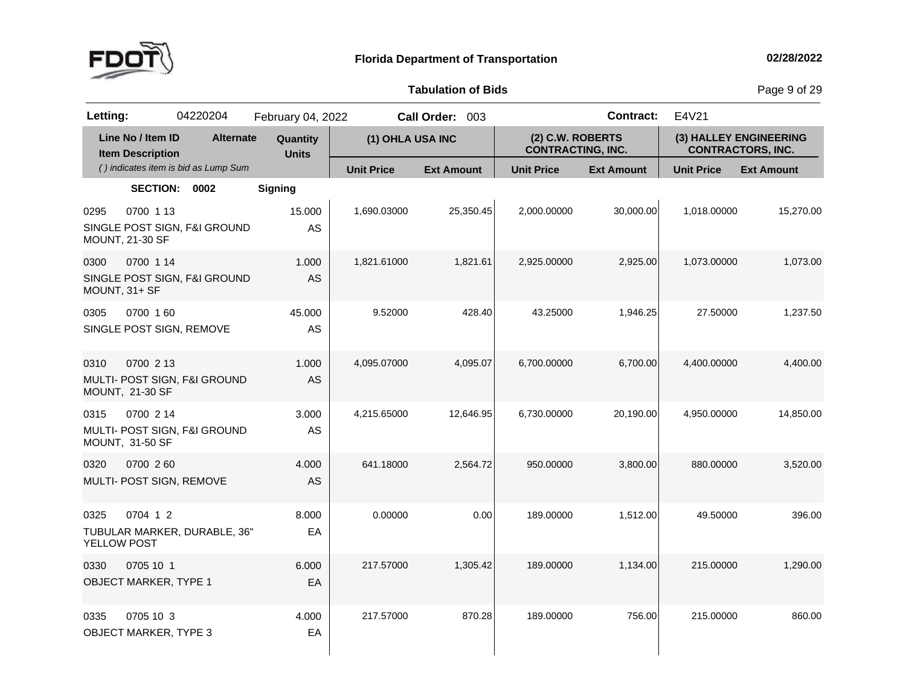

**of Bids** Page <sup>9</sup> of <sup>29</sup>

| Letting:            |                                              | 04220204                             | February 04, 2022        |                   | Call Order: 003   |                                              | <b>Contract:</b>  | E4V21             |                                                    |
|---------------------|----------------------------------------------|--------------------------------------|--------------------------|-------------------|-------------------|----------------------------------------------|-------------------|-------------------|----------------------------------------------------|
|                     | Line No / Item ID<br><b>Item Description</b> | <b>Alternate</b>                     | Quantity<br><b>Units</b> | (1) OHLA USA INC  |                   | (2) C.W. ROBERTS<br><b>CONTRACTING, INC.</b> |                   |                   | (3) HALLEY ENGINEERING<br><b>CONTRACTORS, INC.</b> |
|                     |                                              | () indicates item is bid as Lump Sum |                          | <b>Unit Price</b> | <b>Ext Amount</b> | <b>Unit Price</b>                            | <b>Ext Amount</b> | <b>Unit Price</b> | <b>Ext Amount</b>                                  |
|                     | <b>SECTION:</b>                              | 0002                                 | <b>Signing</b>           |                   |                   |                                              |                   |                   |                                                    |
| 0295                | 0700 1 13<br><b>MOUNT, 21-30 SF</b>          | SINGLE POST SIGN, F&I GROUND         | 15.000<br>AS             | 1,690.03000       | 25,350.45         | 2,000.00000                                  | 30,000.00         | 1,018.00000       | 15,270.00                                          |
| 0300                | 0700 1 14<br>MOUNT, 31+ SF                   | SINGLE POST SIGN, F&I GROUND         | 1.000<br>AS              | 1,821.61000       | 1,821.61          | 2,925.00000                                  | 2,925.00          | 1,073.00000       | 1,073.00                                           |
| 0305                | 0700 160<br>SINGLE POST SIGN, REMOVE         |                                      | 45.000<br>AS             | 9.52000           | 428.40            | 43.25000                                     | 1,946.25          | 27.50000          | 1,237.50                                           |
| 0310                | 0700 2 13<br>MOUNT, 21-30 SF                 | MULTI- POST SIGN, F&I GROUND         | 1.000<br><b>AS</b>       | 4,095.07000       | 4,095.07          | 6,700.00000                                  | 6,700.00          | 4,400.00000       | 4,400.00                                           |
| 0315                | 0700 2 14<br>MOUNT, 31-50 SF                 | MULTI- POST SIGN, F&I GROUND         | 3.000<br>AS              | 4,215.65000       | 12,646.95         | 6,730.00000                                  | 20,190.00         | 4,950.00000       | 14,850.00                                          |
| 0320                | 0700 260<br>MULTI- POST SIGN, REMOVE         |                                      | 4.000<br>AS              | 641.18000         | 2,564.72          | 950.00000                                    | 3,800.00          | 880.00000         | 3,520.00                                           |
| 0325<br>YELLOW POST | 0704 1 2                                     | TUBULAR MARKER, DURABLE, 36"         | 8.000<br>EA              | 0.00000           | 0.00              | 189.00000                                    | 1,512.00          | 49.50000          | 396.00                                             |
| 0330                | 0705 10 1<br>OBJECT MARKER, TYPE 1           |                                      | 6.000<br>EA              | 217.57000         | 1,305.42          | 189.00000                                    | 1,134.00          | 215.00000         | 1,290.00                                           |
| 0335                | 0705 10 3<br><b>OBJECT MARKER, TYPE 3</b>    |                                      | 4.000<br>EA              | 217.57000         | 870.28            | 189.00000                                    | 756.00            | 215.00000         | 860.00                                             |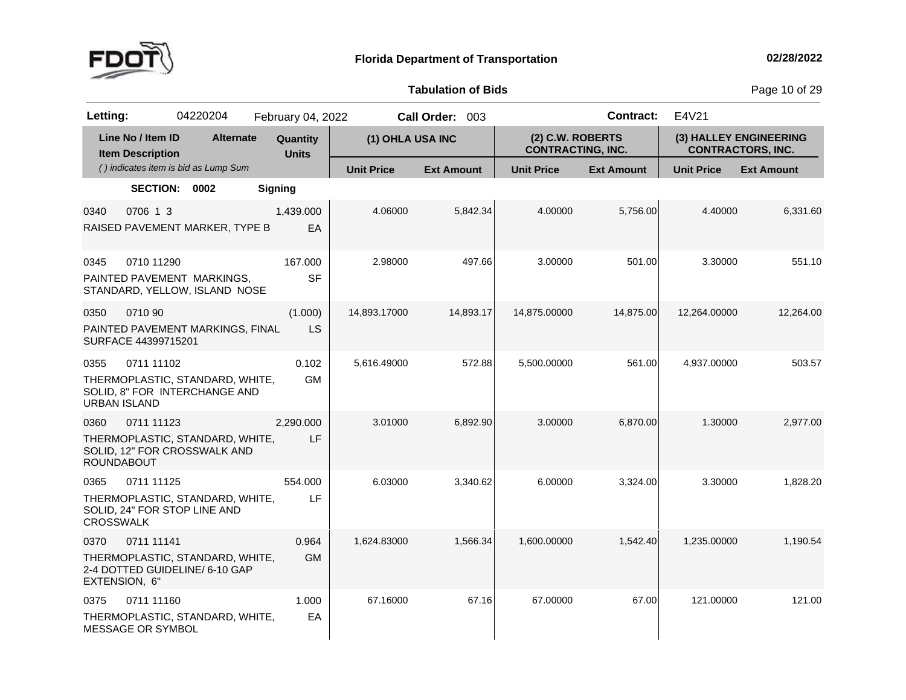

**of Bids** Page <sup>10</sup> of <sup>29</sup>

| Letting:                    |                                              | 04220204                                                          | February 04, 2022        |                   | Call Order: 003   |                                              | <b>Contract:</b>  | E4V21             |                                                    |
|-----------------------------|----------------------------------------------|-------------------------------------------------------------------|--------------------------|-------------------|-------------------|----------------------------------------------|-------------------|-------------------|----------------------------------------------------|
|                             | Line No / Item ID<br><b>Item Description</b> | <b>Alternate</b>                                                  | Quantity<br><b>Units</b> | (1) OHLA USA INC  |                   | (2) C.W. ROBERTS<br><b>CONTRACTING, INC.</b> |                   |                   | (3) HALLEY ENGINEERING<br><b>CONTRACTORS, INC.</b> |
|                             |                                              | () indicates item is bid as Lump Sum                              |                          | <b>Unit Price</b> | <b>Ext Amount</b> | <b>Unit Price</b>                            | <b>Ext Amount</b> | <b>Unit Price</b> | <b>Ext Amount</b>                                  |
|                             | <b>SECTION:</b>                              | 0002                                                              | <b>Signing</b>           |                   |                   |                                              |                   |                   |                                                    |
| 0340                        | 0706 1 3                                     | RAISED PAVEMENT MARKER, TYPE B                                    | 1,439.000<br>EA          | 4.06000           | 5.842.34          | 4.00000                                      | 5.756.00          | 4.40000           | 6,331.60                                           |
| 0345                        | 0710 11290                                   | PAINTED PAVEMENT MARKINGS,<br>STANDARD, YELLOW, ISLAND NOSE       | 167.000<br><b>SF</b>     | 2.98000           | 497.66            | 3.00000                                      | 501.00            | 3.30000           | 551.10                                             |
| 0350                        | 0710 90<br>SURFACE 44399715201               | PAINTED PAVEMENT MARKINGS, FINAL                                  | (1.000)<br>LS            | 14,893.17000      | 14,893.17         | 14,875.00000                                 | 14,875.00         | 12,264.00000      | 12,264.00                                          |
| 0355<br><b>URBAN ISLAND</b> | 0711 11102                                   | THERMOPLASTIC, STANDARD, WHITE,<br>SOLID, 8" FOR INTERCHANGE AND  | 0.102<br><b>GM</b>       | 5,616.49000       | 572.88            | 5,500.00000                                  | 561.00            | 4,937.00000       | 503.57                                             |
| 0360<br><b>ROUNDABOUT</b>   | 0711 11123                                   | THERMOPLASTIC, STANDARD, WHITE,<br>SOLID, 12" FOR CROSSWALK AND   | 2,290.000<br>LF          | 3.01000           | 6,892.90          | 3.00000                                      | 6,870.00          | 1.30000           | 2,977.00                                           |
| 0365<br><b>CROSSWALK</b>    | 0711 11125                                   | THERMOPLASTIC, STANDARD, WHITE,<br>SOLID, 24" FOR STOP LINE AND   | 554.000<br>LF            | 6.03000           | 3,340.62          | 6.00000                                      | 3,324.00          | 3.30000           | 1,828.20                                           |
| 0370<br>EXTENSION, 6"       | 0711 11141                                   | THERMOPLASTIC, STANDARD, WHITE,<br>2-4 DOTTED GUIDELINE/ 6-10 GAP | 0.964<br><b>GM</b>       | 1,624.83000       | 1,566.34          | 1,600.00000                                  | 1,542.40          | 1,235.00000       | 1,190.54                                           |
| 0375                        | 0711 11160<br>MESSAGE OR SYMBOL              | THERMOPLASTIC, STANDARD, WHITE,                                   | 1.000<br>EA              | 67.16000          | 67.16             | 67.00000                                     | 67.00             | 121.00000         | 121.00                                             |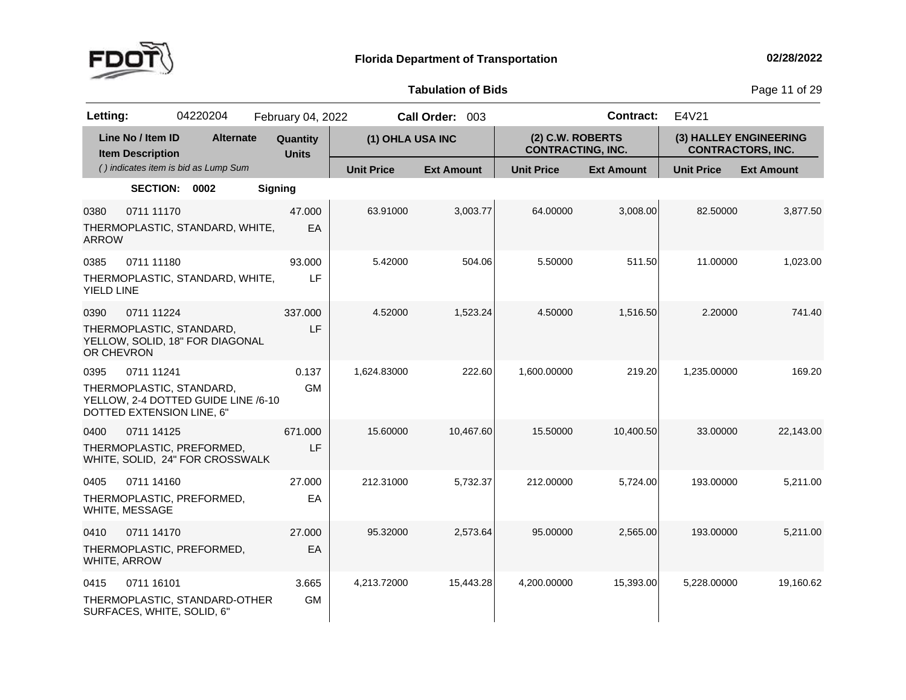

**of Bids** Page <sup>11</sup> of <sup>29</sup>

| Letting:                                                                    | 04220204                                                     | February 04, 2022        |                   | Call Order: 003   |                                              | <b>Contract:</b>  | E4V21             |                                                    |
|-----------------------------------------------------------------------------|--------------------------------------------------------------|--------------------------|-------------------|-------------------|----------------------------------------------|-------------------|-------------------|----------------------------------------------------|
| Line No / Item ID<br><b>Item Description</b>                                | <b>Alternate</b>                                             | Quantity<br><b>Units</b> | (1) OHLA USA INC  |                   | (2) C.W. ROBERTS<br><b>CONTRACTING, INC.</b> |                   |                   | (3) HALLEY ENGINEERING<br><b>CONTRACTORS, INC.</b> |
|                                                                             | () indicates item is bid as Lump Sum                         |                          | <b>Unit Price</b> | <b>Ext Amount</b> | <b>Unit Price</b>                            | <b>Ext Amount</b> | <b>Unit Price</b> | <b>Ext Amount</b>                                  |
|                                                                             | SECTION: 0002                                                | <b>Signing</b>           |                   |                   |                                              |                   |                   |                                                    |
| 0711 11170<br>0380<br><b>ARROW</b>                                          | THERMOPLASTIC, STANDARD, WHITE,                              | 47.000<br>EA             | 63.91000          | 3,003.77          | 64.00000                                     | 3,008.00          | 82.50000          | 3,877.50                                           |
| 0385<br>0711 11180<br>YIELD LINE                                            | THERMOPLASTIC, STANDARD, WHITE,                              | 93.000<br>LF             | 5.42000           | 504.06            | 5.50000                                      | 511.50            | 11.00000          | 1,023.00                                           |
| 0711 11224<br>0390<br>THERMOPLASTIC, STANDARD,<br>OR CHEVRON                | YELLOW, SOLID, 18" FOR DIAGONAL                              | 337.000<br>LF            | 4.52000           | 1,523.24          | 4.50000                                      | 1,516.50          | 2.20000           | 741.40                                             |
| 0395<br>0711 11241<br>THERMOPLASTIC, STANDARD,<br>DOTTED EXTENSION LINE, 6" | YELLOW, 2-4 DOTTED GUIDE LINE /6-10                          | 0.137<br><b>GM</b>       | 1,624.83000       | 222.60            | 1,600.00000                                  | 219.20            | 1,235.00000       | 169.20                                             |
| 0400<br>0711 14125                                                          | THERMOPLASTIC, PREFORMED,<br>WHITE, SOLID, 24" FOR CROSSWALK | 671.000<br>LF            | 15.60000          | 10,467.60         | 15.50000                                     | 10,400.50         | 33.00000          | 22,143.00                                          |
| 0711 14160<br>0405<br>WHITE, MESSAGE                                        | THERMOPLASTIC, PREFORMED,                                    | 27.000<br>EA             | 212.31000         | 5,732.37          | 212.00000                                    | 5,724.00          | 193.00000         | 5,211.00                                           |
| 0410<br>0711 14170<br>WHITE, ARROW                                          | THERMOPLASTIC, PREFORMED,                                    | 27.000<br>EA             | 95.32000          | 2,573.64          | 95.00000                                     | 2,565.00          | 193.00000         | 5,211.00                                           |
| 0711 16101<br>0415<br>SURFACES, WHITE, SOLID, 6"                            | THERMOPLASTIC, STANDARD-OTHER                                | 3.665<br><b>GM</b>       | 4,213.72000       | 15,443.28         | 4,200.00000                                  | 15,393.00         | 5,228.00000       | 19,160.62                                          |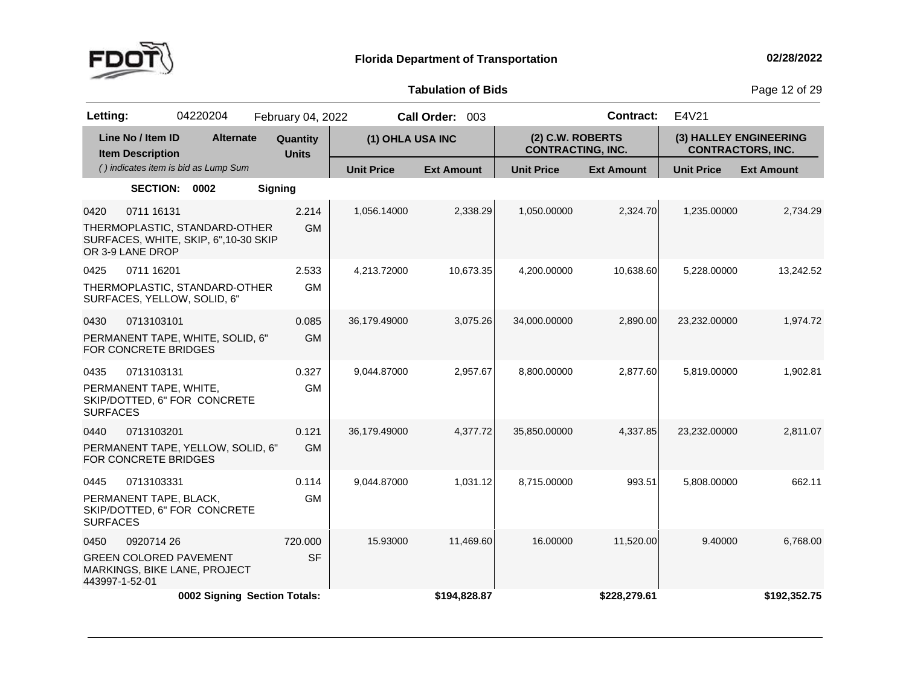

**of Bids** Page <sup>12</sup> of <sup>29</sup>

| Letting:                |                                              | 04220204                                                              | February 04, 2022        |                   | Call Order: 003   |                                              | Contract:         | E4V21                  |                          |
|-------------------------|----------------------------------------------|-----------------------------------------------------------------------|--------------------------|-------------------|-------------------|----------------------------------------------|-------------------|------------------------|--------------------------|
|                         | Line No / Item ID<br><b>Item Description</b> | <b>Alternate</b>                                                      | Quantity<br><b>Units</b> | (1) OHLA USA INC  |                   | (2) C.W. ROBERTS<br><b>CONTRACTING, INC.</b> |                   | (3) HALLEY ENGINEERING | <b>CONTRACTORS, INC.</b> |
|                         |                                              | () indicates item is bid as Lump Sum                                  |                          | <b>Unit Price</b> | <b>Ext Amount</b> | <b>Unit Price</b>                            | <b>Ext Amount</b> | <b>Unit Price</b>      | <b>Ext Amount</b>        |
|                         | <b>SECTION:</b>                              | 0002                                                                  | <b>Signing</b>           |                   |                   |                                              |                   |                        |                          |
| 0420                    | 0711 16131<br>OR 3-9 LANE DROP               | THERMOPLASTIC, STANDARD-OTHER<br>SURFACES, WHITE, SKIP, 6",10-30 SKIP | 2.214<br><b>GM</b>       | 1,056.14000       | 2,338.29          | 1,050.00000                                  | 2,324.70          | 1,235.00000            | 2,734.29                 |
| 0425                    | 0711 16201<br>SURFACES, YELLOW, SOLID, 6"    | THERMOPLASTIC, STANDARD-OTHER                                         | 2.533<br><b>GM</b>       | 4,213.72000       | 10,673.35         | 4,200.00000                                  | 10,638.60         | 5,228.00000            | 13,242.52                |
| 0430                    | 0713103101<br>FOR CONCRETE BRIDGES           | PERMANENT TAPE, WHITE, SOLID, 6"                                      | 0.085<br><b>GM</b>       | 36,179.49000      | 3,075.26          | 34,000.00000                                 | 2,890.00          | 23,232.00000           | 1,974.72                 |
| 0435<br><b>SURFACES</b> | 0713103131<br>PERMANENT TAPE, WHITE,         | SKIP/DOTTED, 6" FOR CONCRETE                                          | 0.327<br><b>GM</b>       | 9,044.87000       | 2,957.67          | 8,800.00000                                  | 2,877.60          | 5,819.00000            | 1,902.81                 |
| 0440                    | 0713103201<br><b>FOR CONCRETE BRIDGES</b>    | PERMANENT TAPE, YELLOW, SOLID, 6"                                     | 0.121<br><b>GM</b>       | 36,179.49000      | 4,377.72          | 35,850.00000                                 | 4,337.85          | 23,232.00000           | 2,811.07                 |
| 0445<br><b>SURFACES</b> | 0713103331<br>PERMANENT TAPE, BLACK,         | SKIP/DOTTED, 6" FOR CONCRETE                                          | 0.114<br><b>GM</b>       | 9,044.87000       | 1,031.12          | 8,715.00000                                  | 993.51            | 5,808.00000            | 662.11                   |
| 0450<br>443997-1-52-01  | 0920714 26<br><b>GREEN COLORED PAVEMENT</b>  | MARKINGS, BIKE LANE, PROJECT                                          | 720.000<br><b>SF</b>     | 15.93000          | 11,469.60         | 16.00000                                     | 11,520.00         | 9.40000                | 6,768.00                 |
|                         |                                              | 0002 Signing Section Totals:                                          |                          |                   | \$194,828.87      |                                              | \$228,279.61      |                        | \$192,352.75             |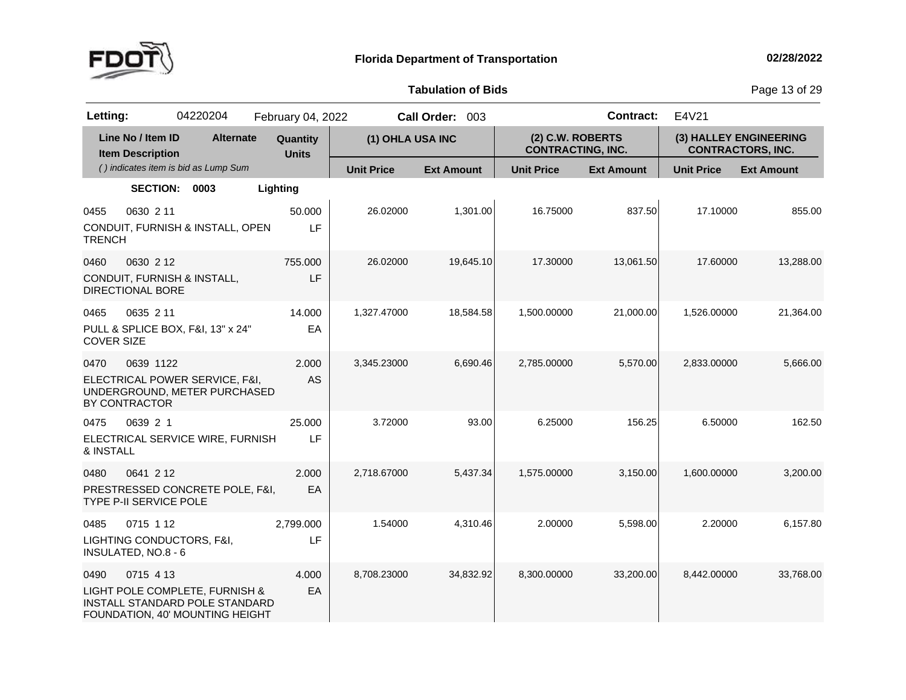

**of Bids** Page <sup>13</sup> of <sup>29</sup>

| Letting:                                                 |                                              | 04220204                                                                                            | February 04, 2022        |                   | Call Order: 003   |                                              | <b>Contract:</b>  | E4V21             |                                                    |
|----------------------------------------------------------|----------------------------------------------|-----------------------------------------------------------------------------------------------------|--------------------------|-------------------|-------------------|----------------------------------------------|-------------------|-------------------|----------------------------------------------------|
|                                                          | Line No / Item ID<br><b>Item Description</b> | <b>Alternate</b>                                                                                    | Quantity<br><b>Units</b> | (1) OHLA USA INC  |                   | (2) C.W. ROBERTS<br><b>CONTRACTING, INC.</b> |                   |                   | (3) HALLEY ENGINEERING<br><b>CONTRACTORS, INC.</b> |
|                                                          |                                              | () indicates item is bid as Lump Sum                                                                |                          | <b>Unit Price</b> | <b>Ext Amount</b> | <b>Unit Price</b>                            | <b>Ext Amount</b> | <b>Unit Price</b> | <b>Ext Amount</b>                                  |
|                                                          | <b>SECTION:</b>                              | 0003                                                                                                | Lighting                 |                   |                   |                                              |                   |                   |                                                    |
| 0455<br><b>TRENCH</b>                                    | 0630 2 11                                    | CONDUIT, FURNISH & INSTALL, OPEN                                                                    | 50.000<br>LF             | 26.02000          | 1,301.00          | 16.75000                                     | 837.50            | 17.10000          | 855.00                                             |
| 0460<br><b>DIRECTIONAL BORE</b>                          | 0630 2 12                                    | CONDUIT, FURNISH & INSTALL,                                                                         | 755.000<br>LF            | 26.02000          | 19,645.10         | 17.30000                                     | 13,061.50         | 17.60000          | 13,288.00                                          |
| 0465<br><b>COVER SIZE</b>                                | 0635 2 11                                    | PULL & SPLICE BOX, F&I, 13" x 24"                                                                   | 14.000<br>EA             | 1,327.47000       | 18,584.58         | 1,500.00000                                  | 21,000.00         | 1,526.00000       | 21,364.00                                          |
| 0470<br>BY CONTRACTOR                                    | 0639 1122                                    | ELECTRICAL POWER SERVICE, F&I,<br>UNDERGROUND, METER PURCHASED                                      | 2.000<br><b>AS</b>       | 3,345.23000       | 6,690.46          | 2,785.00000                                  | 5,570.00          | 2,833.00000       | 5,666.00                                           |
| 0475<br>& INSTALL                                        | 0639 2 1                                     | ELECTRICAL SERVICE WIRE, FURNISH                                                                    | 25.000<br>LF             | 3.72000           | 93.00             | 6.25000                                      | 156.25            | 6.50000           | 162.50                                             |
| 0480<br>TYPE P-II SERVICE POLE                           | 0641 2 12                                    | PRESTRESSED CONCRETE POLE, F&I,                                                                     | 2.000<br>EA              | 2.718.67000       | 5,437.34          | 1,575.00000                                  | 3.150.00          | 1.600.00000       | 3,200.00                                           |
| 0485<br>LIGHTING CONDUCTORS, F&I,<br>INSULATED, NO.8 - 6 | 0715 1 12                                    |                                                                                                     | 2,799.000<br>LF          | 1.54000           | 4,310.46          | 2.00000                                      | 5,598.00          | 2.20000           | 6,157.80                                           |
| 0490                                                     | 0715 4 13                                    | LIGHT POLE COMPLETE, FURNISH &<br>INSTALL STANDARD POLE STANDARD<br>FOUNDATION, 40' MOUNTING HEIGHT | 4.000<br>EA              | 8,708.23000       | 34,832.92         | 8,300.00000                                  | 33,200.00         | 8,442.00000       | 33,768.00                                          |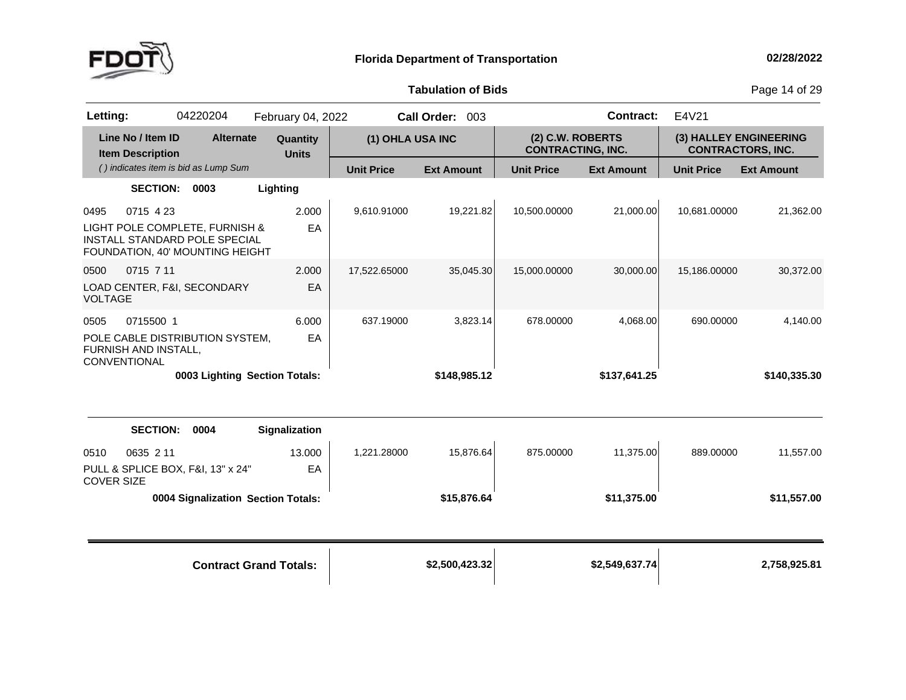

**of Bids** Page <sup>14</sup> of <sup>29</sup>

| Letting:                    |                                              | 04220204                                                                                           | February 04, 2022             |                   | Call Order: 003   |                                              | <b>Contract:</b>  | E4V21             |                                                    |
|-----------------------------|----------------------------------------------|----------------------------------------------------------------------------------------------------|-------------------------------|-------------------|-------------------|----------------------------------------------|-------------------|-------------------|----------------------------------------------------|
|                             | Line No / Item ID<br><b>Item Description</b> | <b>Alternate</b>                                                                                   | Quantity<br><b>Units</b>      | (1) OHLA USA INC  |                   | (2) C.W. ROBERTS<br><b>CONTRACTING, INC.</b> |                   |                   | (3) HALLEY ENGINEERING<br><b>CONTRACTORS, INC.</b> |
|                             |                                              | () indicates item is bid as Lump Sum                                                               |                               | <b>Unit Price</b> | <b>Ext Amount</b> | <b>Unit Price</b>                            | <b>Ext Amount</b> | <b>Unit Price</b> | <b>Ext Amount</b>                                  |
|                             | <b>SECTION:</b>                              | 0003                                                                                               | Lighting                      |                   |                   |                                              |                   |                   |                                                    |
| 0495                        | 0715 4 23                                    | LIGHT POLE COMPLETE, FURNISH &<br>INSTALL STANDARD POLE SPECIAL<br>FOUNDATION, 40' MOUNTING HEIGHT | 2.000<br>EA                   | 9,610.91000       | 19,221.82         | 10,500.00000                                 | 21,000.00         | 10,681.00000      | 21,362.00                                          |
| 0500<br><b>VOLTAGE</b>      | 0715 7 11                                    | LOAD CENTER, F&I, SECONDARY                                                                        | 2.000<br>EA                   | 17,522.65000      | 35,045.30         | 15,000.00000                                 | 30,000.00         | 15,186.00000      | 30,372.00                                          |
| 0505<br><b>CONVENTIONAL</b> | 0715500 1<br>FURNISH AND INSTALL,            | POLE CABLE DISTRIBUTION SYSTEM,                                                                    | 6.000<br>EA                   | 637.19000         | 3,823.14          | 678.00000                                    | 4,068.00          | 690.00000         | 4,140.00                                           |
|                             |                                              | 0003 Lighting Section Totals:                                                                      |                               |                   | \$148,985.12      |                                              | \$137,641.25      |                   | \$140,335.30                                       |
|                             | <b>SECTION:</b>                              | 0004                                                                                               | Signalization                 |                   |                   |                                              |                   |                   |                                                    |
| 0510<br><b>COVER SIZE</b>   | 0635 2 11                                    | PULL & SPLICE BOX, F&I, 13" x 24"                                                                  | 13.000<br>EA                  | 1,221.28000       | 15,876.64         | 875.00000                                    | 11,375.00         | 889.00000         | 11,557.00                                          |
|                             |                                              | 0004 Signalization Section Totals:                                                                 |                               |                   | \$15,876.64       |                                              | \$11,375.00       |                   | \$11,557.00                                        |
|                             |                                              |                                                                                                    | <b>Contract Grand Totals:</b> |                   | \$2,500,423.32    |                                              | \$2,549,637.74    |                   | 2,758,925.81                                       |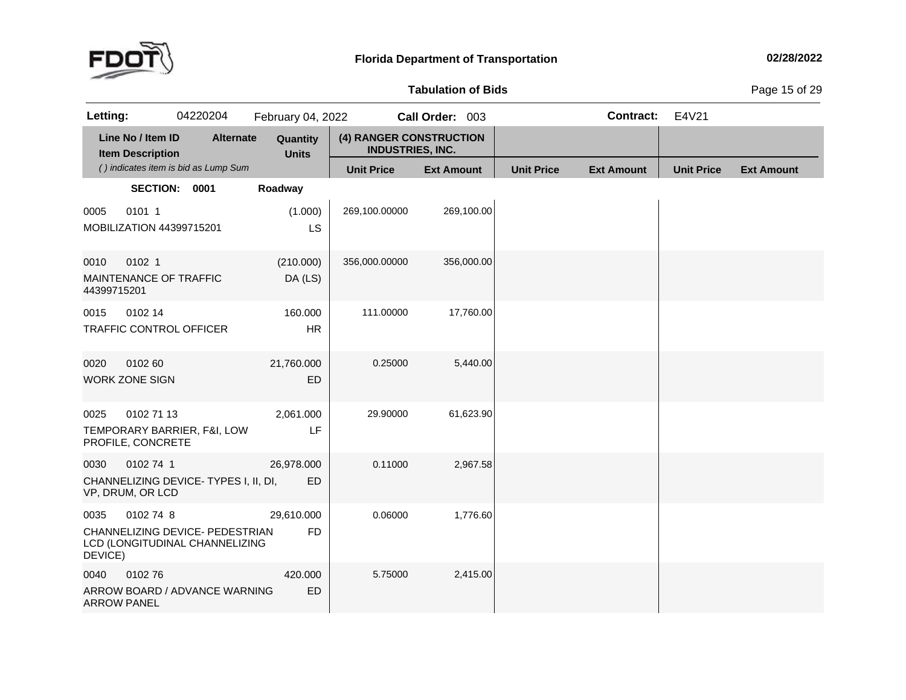

# **Tabulation**

**of Bids** Page <sup>15</sup> of <sup>29</sup>

| Letting:                   |                                              | 04220204                                                          | February 04, 2022        |                                                    | Call Order: 003   |                   | <b>Contract:</b>  | E4V21             |                   |
|----------------------------|----------------------------------------------|-------------------------------------------------------------------|--------------------------|----------------------------------------------------|-------------------|-------------------|-------------------|-------------------|-------------------|
|                            | Line No / Item ID<br><b>Item Description</b> | <b>Alternate</b>                                                  | Quantity<br><b>Units</b> | (4) RANGER CONSTRUCTION<br><b>INDUSTRIES, INC.</b> |                   |                   |                   |                   |                   |
|                            |                                              | () indicates item is bid as Lump Sum                              |                          | <b>Unit Price</b>                                  | <b>Ext Amount</b> | <b>Unit Price</b> | <b>Ext Amount</b> | <b>Unit Price</b> | <b>Ext Amount</b> |
|                            | SECTION: 0001                                |                                                                   | Roadway                  |                                                    |                   |                   |                   |                   |                   |
| 0005                       | 0101 1<br>MOBILIZATION 44399715201           |                                                                   | (1.000)<br><b>LS</b>     | 269,100.00000                                      | 269,100.00        |                   |                   |                   |                   |
| 0010<br>44399715201        | 0102 1<br>MAINTENANCE OF TRAFFIC             |                                                                   | (210.000)<br>DA (LS)     | 356,000.00000                                      | 356,000.00        |                   |                   |                   |                   |
| 0015                       | 0102 14                                      | <b>TRAFFIC CONTROL OFFICER</b>                                    | 160.000<br><b>HR</b>     | 111.00000                                          | 17,760.00         |                   |                   |                   |                   |
| 0020                       | 0102 60<br><b>WORK ZONE SIGN</b>             |                                                                   | 21,760.000<br>ED         | 0.25000                                            | 5,440.00          |                   |                   |                   |                   |
| 0025                       | 0102 71 13<br>PROFILE, CONCRETE              | TEMPORARY BARRIER, F&I, LOW                                       | 2,061.000<br>LF          | 29.90000                                           | 61,623.90         |                   |                   |                   |                   |
| 0030                       | 0102 74 1<br>VP, DRUM, OR LCD                | CHANNELIZING DEVICE- TYPES I, II, DI,                             | 26,978.000<br>ED.        | 0.11000                                            | 2,967.58          |                   |                   |                   |                   |
| 0035<br>DEVICE)            | 0102 74 8                                    | CHANNELIZING DEVICE- PEDESTRIAN<br>LCD (LONGITUDINAL CHANNELIZING | 29,610.000<br><b>FD</b>  | 0.06000                                            | 1,776.60          |                   |                   |                   |                   |
| 0040<br><b>ARROW PANEL</b> | 010276                                       | ARROW BOARD / ADVANCE WARNING                                     | 420.000<br>ED            | 5.75000                                            | 2,415.00          |                   |                   |                   |                   |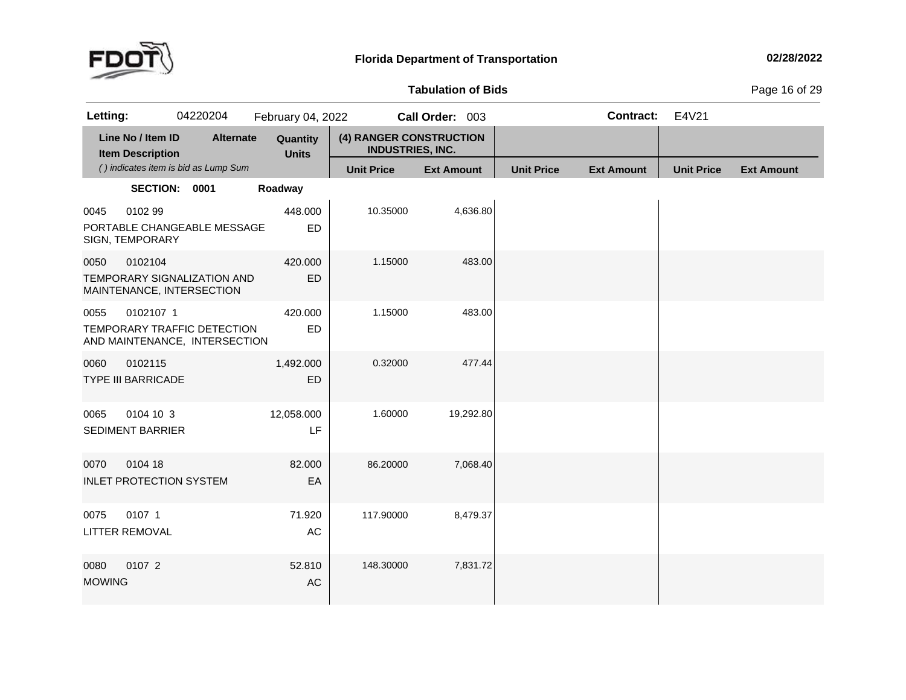

# **Tabulation**

**of Bids** Page <sup>16</sup> of <sup>29</sup>

| Letting:              |                                              | 04220204                                                     | February 04, 2022        |                                                    | Call Order: 003   |                   | <b>Contract:</b>  | E4V21             |                   |
|-----------------------|----------------------------------------------|--------------------------------------------------------------|--------------------------|----------------------------------------------------|-------------------|-------------------|-------------------|-------------------|-------------------|
|                       | Line No / Item ID<br><b>Item Description</b> | <b>Alternate</b>                                             | Quantity<br><b>Units</b> | (4) RANGER CONSTRUCTION<br><b>INDUSTRIES, INC.</b> |                   |                   |                   |                   |                   |
|                       |                                              | () indicates item is bid as Lump Sum                         |                          | <b>Unit Price</b>                                  | <b>Ext Amount</b> | <b>Unit Price</b> | <b>Ext Amount</b> | <b>Unit Price</b> | <b>Ext Amount</b> |
|                       | SECTION: 0001                                |                                                              | Roadway                  |                                                    |                   |                   |                   |                   |                   |
| 0045                  | 0102 99<br>SIGN, TEMPORARY                   | PORTABLE CHANGEABLE MESSAGE                                  | 448.000<br>ED            | 10.35000                                           | 4,636.80          |                   |                   |                   |                   |
| 0050                  | 0102104                                      | TEMPORARY SIGNALIZATION AND<br>MAINTENANCE, INTERSECTION     | 420.000<br>ED            | 1.15000                                            | 483.00            |                   |                   |                   |                   |
| 0055                  | 0102107 1                                    | TEMPORARY TRAFFIC DETECTION<br>AND MAINTENANCE, INTERSECTION | 420.000<br>ED            | 1.15000                                            | 483.00            |                   |                   |                   |                   |
| 0060                  | 0102115<br><b>TYPE III BARRICADE</b>         |                                                              | 1,492.000<br><b>ED</b>   | 0.32000                                            | 477.44            |                   |                   |                   |                   |
| 0065                  | 0104 10 3<br><b>SEDIMENT BARRIER</b>         |                                                              | 12,058.000<br>LF         | 1.60000                                            | 19,292.80         |                   |                   |                   |                   |
| 0070                  | 0104 18<br><b>INLET PROTECTION SYSTEM</b>    |                                                              | 82.000<br>EA             | 86.20000                                           | 7,068.40          |                   |                   |                   |                   |
| 0075                  | 0107 1<br>LITTER REMOVAL                     |                                                              | 71.920<br>AC             | 117.90000                                          | 8,479.37          |                   |                   |                   |                   |
| 0080<br><b>MOWING</b> | 0107 2                                       |                                                              | 52.810<br>AC             | 148.30000                                          | 7,831.72          |                   |                   |                   |                   |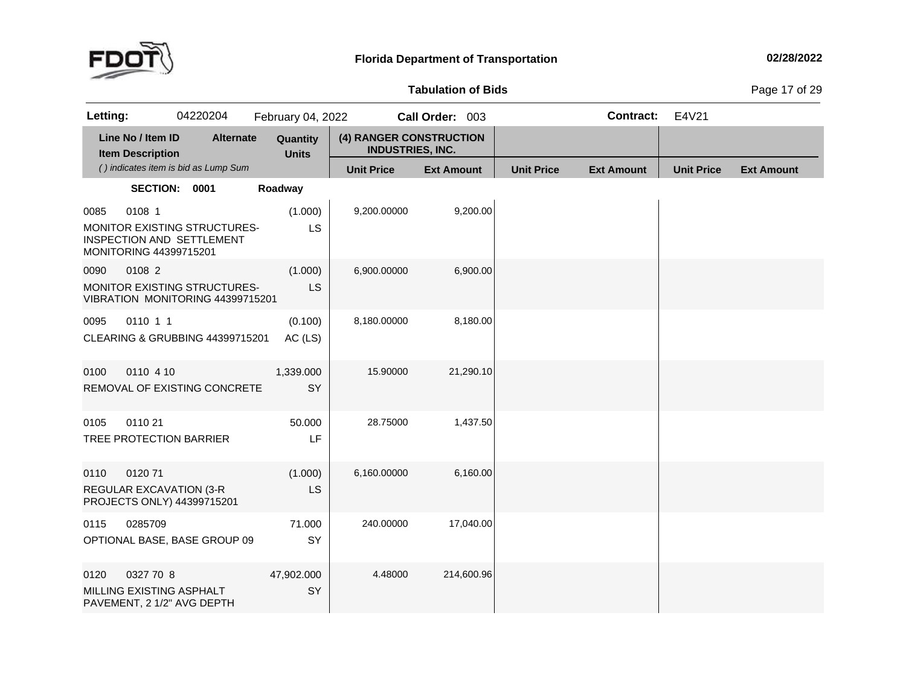

# **Tabulation**

**of Bids** Page <sup>17</sup> of <sup>29</sup>

| Letting:                                      | 04220204                                                                | February 04, 2022        |                                                    | Call Order: 003   |                   | <b>Contract:</b>  | E4V21             |                   |
|-----------------------------------------------|-------------------------------------------------------------------------|--------------------------|----------------------------------------------------|-------------------|-------------------|-------------------|-------------------|-------------------|
| Line No / Item ID<br><b>Item Description</b>  | <b>Alternate</b>                                                        | Quantity<br><b>Units</b> | (4) RANGER CONSTRUCTION<br><b>INDUSTRIES, INC.</b> |                   |                   |                   |                   |                   |
|                                               | () indicates item is bid as Lump Sum                                    |                          | <b>Unit Price</b>                                  | <b>Ext Amount</b> | <b>Unit Price</b> | <b>Ext Amount</b> | <b>Unit Price</b> | <b>Ext Amount</b> |
|                                               | SECTION: 0001                                                           | Roadway                  |                                                    |                   |                   |                   |                   |                   |
| 0108 1<br>0085<br>MONITORING 44399715201      | MONITOR EXISTING STRUCTURES-<br>INSPECTION AND SETTLEMENT               | (1.000)<br>LS            | 9,200.00000                                        | 9,200.00          |                   |                   |                   |                   |
| 0108 2<br>0090                                | <b>MONITOR EXISTING STRUCTURES-</b><br>VIBRATION MONITORING 44399715201 | (1.000)<br>LS            | 6,900.00000                                        | 6,900.00          |                   |                   |                   |                   |
| 0110 1 1<br>0095                              | CLEARING & GRUBBING 44399715201                                         | (0.100)<br>AC (LS)       | 8,180.00000                                        | 8,180.00          |                   |                   |                   |                   |
| 0110 4 10<br>0100                             | REMOVAL OF EXISTING CONCRETE                                            | 1,339.000<br>SY          | 15.90000                                           | 21,290.10         |                   |                   |                   |                   |
| 0110 21<br>0105                               | TREE PROTECTION BARRIER                                                 | 50.000<br>LF             | 28.75000                                           | 1,437.50          |                   |                   |                   |                   |
| 012071<br>0110<br>REGULAR EXCAVATION (3-R     | PROJECTS ONLY) 44399715201                                              | (1.000)<br>LS            | 6,160.00000                                        | 6,160.00          |                   |                   |                   |                   |
| 0285709<br>0115                               | OPTIONAL BASE, BASE GROUP 09                                            | 71.000<br>SY             | 240.00000                                          | 17,040.00         |                   |                   |                   |                   |
| 0327 70 8<br>0120<br>MILLING EXISTING ASPHALT | PAVEMENT, 2 1/2" AVG DEPTH                                              | 47,902.000<br>SY         | 4.48000                                            | 214,600.96        |                   |                   |                   |                   |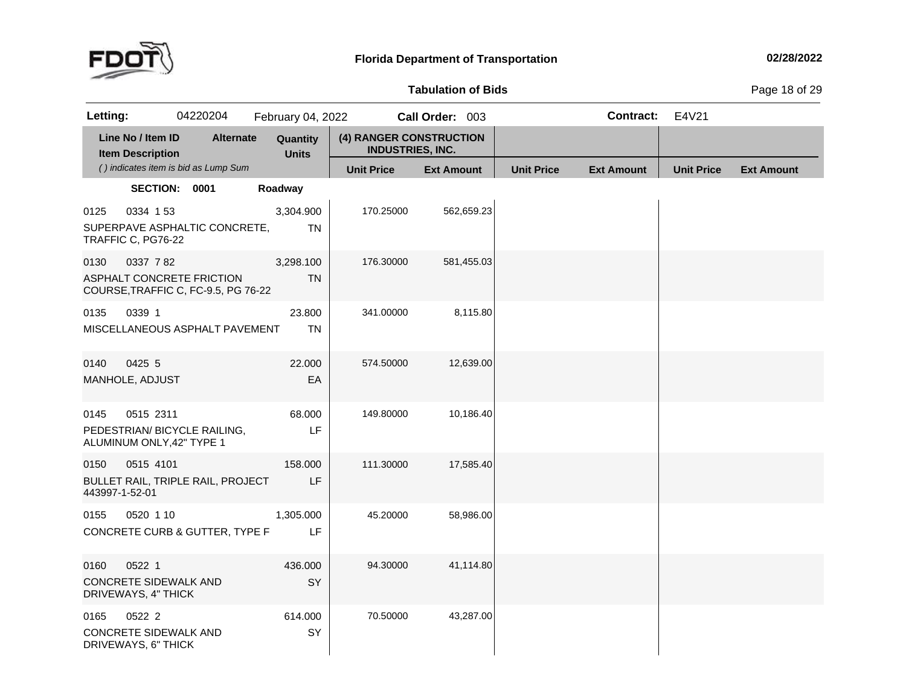

# **Tabulation**

**of Bids** Page <sup>18</sup> of <sup>29</sup>

| Letting:               |                                                               | 04220204                                                         | February 04, 2022        |                                                    | Call Order: 003   |                   | <b>Contract:</b>  | E4V21             |                   |
|------------------------|---------------------------------------------------------------|------------------------------------------------------------------|--------------------------|----------------------------------------------------|-------------------|-------------------|-------------------|-------------------|-------------------|
|                        | Line No / Item ID<br><b>Item Description</b>                  | <b>Alternate</b>                                                 | Quantity<br><b>Units</b> | (4) RANGER CONSTRUCTION<br><b>INDUSTRIES, INC.</b> |                   |                   |                   |                   |                   |
|                        |                                                               | () indicates item is bid as Lump Sum                             |                          | <b>Unit Price</b>                                  | <b>Ext Amount</b> | <b>Unit Price</b> | <b>Ext Amount</b> | <b>Unit Price</b> | <b>Ext Amount</b> |
|                        | SECTION: 0001                                                 |                                                                  | Roadway                  |                                                    |                   |                   |                   |                   |                   |
| 0125                   | 0334 153<br>TRAFFIC C, PG76-22                                | SUPERPAVE ASPHALTIC CONCRETE,                                    | 3,304.900<br>TN          | 170.25000                                          | 562,659.23        |                   |                   |                   |                   |
| 0130                   | 0337 782                                                      | ASPHALT CONCRETE FRICTION<br>COURSE, TRAFFIC C, FC-9.5, PG 76-22 | 3,298.100<br><b>TN</b>   | 176.30000                                          | 581,455.03        |                   |                   |                   |                   |
| 0135                   | 0339 1                                                        | MISCELLANEOUS ASPHALT PAVEMENT                                   | 23.800<br><b>TN</b>      | 341.00000                                          | 8,115.80          |                   |                   |                   |                   |
| 0140                   | 0425 5<br>MANHOLE, ADJUST                                     |                                                                  | 22.000<br>EA             | 574.50000                                          | 12,639.00         |                   |                   |                   |                   |
| 0145                   | 0515 2311<br>ALUMINUM ONLY, 42" TYPE 1                        | PEDESTRIAN/ BICYCLE RAILING,                                     | 68.000<br>LF             | 149.80000                                          | 10,186.40         |                   |                   |                   |                   |
| 0150<br>443997-1-52-01 | 0515 4101                                                     | BULLET RAIL, TRIPLE RAIL, PROJECT                                | 158.000<br>LF            | 111.30000                                          | 17,585.40         |                   |                   |                   |                   |
| 0155                   | 0520 1 10                                                     | CONCRETE CURB & GUTTER, TYPE F                                   | 1,305.000<br>LF          | 45.20000                                           | 58,986.00         |                   |                   |                   |                   |
| 0160                   | 0522 1<br><b>CONCRETE SIDEWALK AND</b><br>DRIVEWAYS, 4" THICK |                                                                  | 436.000<br>SY            | 94.30000                                           | 41,114.80         |                   |                   |                   |                   |
| 0165                   | 0522 2<br>CONCRETE SIDEWALK AND<br>DRIVEWAYS, 6" THICK        |                                                                  | 614.000<br>SY            | 70.50000                                           | 43,287.00         |                   |                   |                   |                   |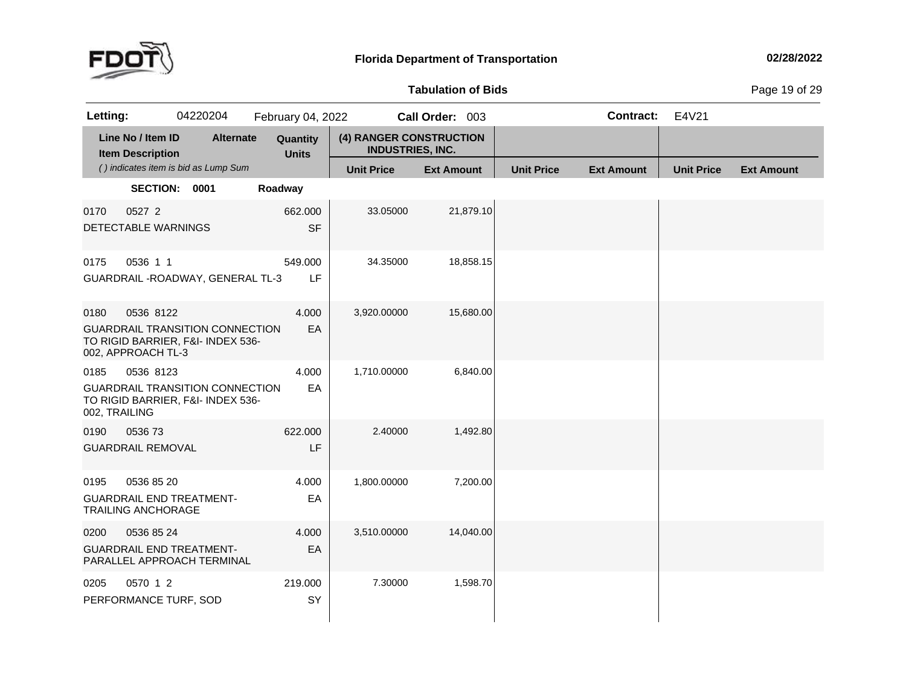

**Tabulation**

**of Bids** Page <sup>19</sup> of <sup>29</sup>

| Letting:              |                                              | 04220204                                                                    | February 04, 2022        |                                                    | Call Order: 003   |                   | <b>Contract:</b>  | E4V21             |                   |
|-----------------------|----------------------------------------------|-----------------------------------------------------------------------------|--------------------------|----------------------------------------------------|-------------------|-------------------|-------------------|-------------------|-------------------|
|                       | Line No / Item ID<br><b>Item Description</b> | <b>Alternate</b>                                                            | Quantity<br><b>Units</b> | (4) RANGER CONSTRUCTION<br><b>INDUSTRIES, INC.</b> |                   |                   |                   |                   |                   |
|                       |                                              | () indicates item is bid as Lump Sum                                        |                          | <b>Unit Price</b>                                  | <b>Ext Amount</b> | <b>Unit Price</b> | <b>Ext Amount</b> | <b>Unit Price</b> | <b>Ext Amount</b> |
|                       | SECTION: 0001                                |                                                                             | Roadway                  |                                                    |                   |                   |                   |                   |                   |
| 0170                  | 0527 2<br>DETECTABLE WARNINGS                |                                                                             | 662.000<br><b>SF</b>     | 33.05000                                           | 21,879.10         |                   |                   |                   |                   |
| 0175                  | 0536 1 1                                     | GUARDRAIL - ROADWAY, GENERAL TL-3                                           | 549.000<br>LF            | 34.35000                                           | 18,858.15         |                   |                   |                   |                   |
| 0180                  | 0536 8122<br>002, APPROACH TL-3              | <b>GUARDRAIL TRANSITION CONNECTION</b><br>TO RIGID BARRIER, F&I- INDEX 536- | 4.000<br>EA              | 3,920.00000                                        | 15,680.00         |                   |                   |                   |                   |
| 0185<br>002, TRAILING | 0536 8123                                    | <b>GUARDRAIL TRANSITION CONNECTION</b><br>TO RIGID BARRIER, F&I- INDEX 536- | 4.000<br>EA              | 1,710.00000                                        | 6,840.00          |                   |                   |                   |                   |
| 0190                  | 053673<br><b>GUARDRAIL REMOVAL</b>           |                                                                             | 622.000<br>LF            | 2.40000                                            | 1,492.80          |                   |                   |                   |                   |
| 0195                  | 0536 85 20<br><b>TRAILING ANCHORAGE</b>      | <b>GUARDRAIL END TREATMENT-</b>                                             | 4.000<br>EA              | 1,800.00000                                        | 7,200.00          |                   |                   |                   |                   |
| 0200                  | 0536 85 24                                   | <b>GUARDRAIL END TREATMENT-</b><br>PARALLEL APPROACH TERMINAL               | 4.000<br>EA              | 3,510.00000                                        | 14,040.00         |                   |                   |                   |                   |
| 0205                  | 0570 1 2<br>PERFORMANCE TURF, SOD            |                                                                             | 219.000<br>SY            | 7.30000                                            | 1,598.70          |                   |                   |                   |                   |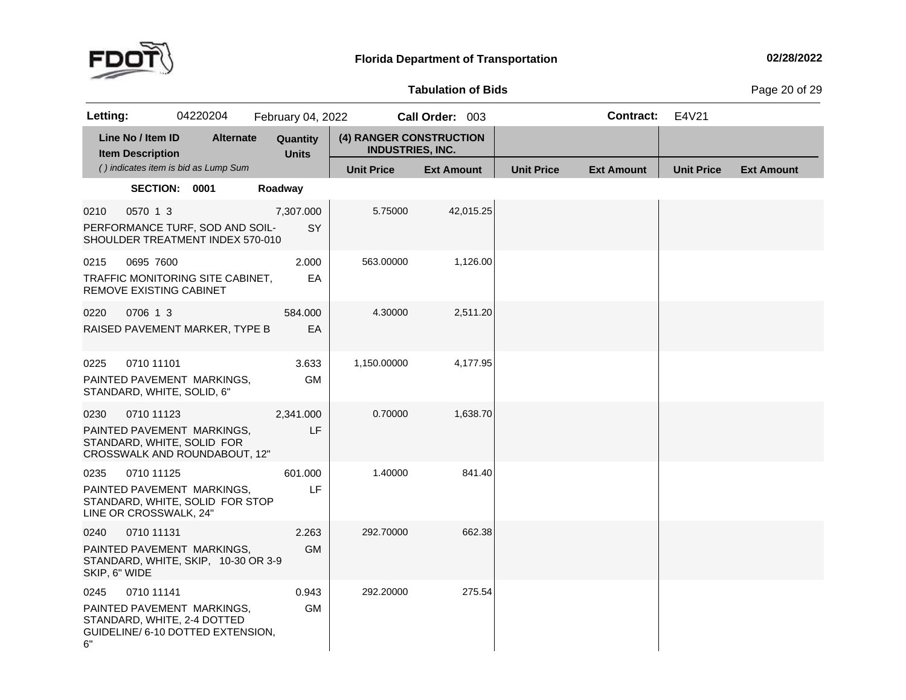

**Tabulation**

**of Bids** Page <sup>20</sup> of <sup>29</sup>

| Letting:                           |                   | 04220204                                                                                       |         | February 04, 2022        |                                                    | Call Order: 003   |           |                   | <b>Contract:</b>  | E4V21             |                   |
|------------------------------------|-------------------|------------------------------------------------------------------------------------------------|---------|--------------------------|----------------------------------------------------|-------------------|-----------|-------------------|-------------------|-------------------|-------------------|
| <b>Item Description</b>            | Line No / Item ID | <b>Alternate</b>                                                                               |         | Quantity<br><b>Units</b> | (4) RANGER CONSTRUCTION<br><b>INDUSTRIES, INC.</b> |                   |           |                   |                   |                   |                   |
|                                    |                   | () indicates item is bid as Lump Sum                                                           |         |                          | <b>Unit Price</b>                                  | <b>Ext Amount</b> |           | <b>Unit Price</b> | <b>Ext Amount</b> | <b>Unit Price</b> | <b>Ext Amount</b> |
|                                    | SECTION: 0001     |                                                                                                | Roadway |                          |                                                    |                   |           |                   |                   |                   |                   |
| 0210                               | 0570 1 3          | PERFORMANCE TURF, SOD AND SOIL-<br>SHOULDER TREATMENT INDEX 570-010                            |         | 7,307.000<br>SY          | 5.75000                                            |                   | 42,015.25 |                   |                   |                   |                   |
| 0215<br>REMOVE EXISTING CABINET    | 0695 7600         | TRAFFIC MONITORING SITE CABINET,                                                               |         | 2.000<br>EA              | 563.00000                                          |                   | 1,126.00  |                   |                   |                   |                   |
| 0220                               | 0706 1 3          | RAISED PAVEMENT MARKER, TYPE B                                                                 |         | 584.000<br>EA            | 4.30000                                            |                   | 2,511.20  |                   |                   |                   |                   |
| 0225<br>STANDARD, WHITE, SOLID, 6" | 0710 11101        | PAINTED PAVEMENT MARKINGS,                                                                     |         | 3.633<br><b>GM</b>       | 1,150.00000                                        |                   | 4,177.95  |                   |                   |                   |                   |
| 0230                               | 0710 11123        | PAINTED PAVEMENT MARKINGS,<br>STANDARD, WHITE, SOLID FOR<br>CROSSWALK AND ROUNDABOUT, 12"      |         | 2,341.000<br>LF.         | 0.70000                                            |                   | 1,638.70  |                   |                   |                   |                   |
| 0235<br>LINE OR CROSSWALK, 24"     | 0710 11125        | PAINTED PAVEMENT MARKINGS,<br>STANDARD, WHITE, SOLID FOR STOP                                  |         | 601.000<br>LF.           | 1.40000                                            |                   | 841.40    |                   |                   |                   |                   |
| 0240<br>SKIP, 6" WIDE              | 0710 11131        | PAINTED PAVEMENT MARKINGS,<br>STANDARD, WHITE, SKIP, 10-30 OR 3-9                              |         | 2.263<br><b>GM</b>       | 292.70000                                          |                   | 662.38    |                   |                   |                   |                   |
| 0245<br>6"                         | 0710 11141        | PAINTED PAVEMENT MARKINGS,<br>STANDARD, WHITE, 2-4 DOTTED<br>GUIDELINE/ 6-10 DOTTED EXTENSION, |         | 0.943<br><b>GM</b>       | 292.20000                                          |                   | 275.54    |                   |                   |                   |                   |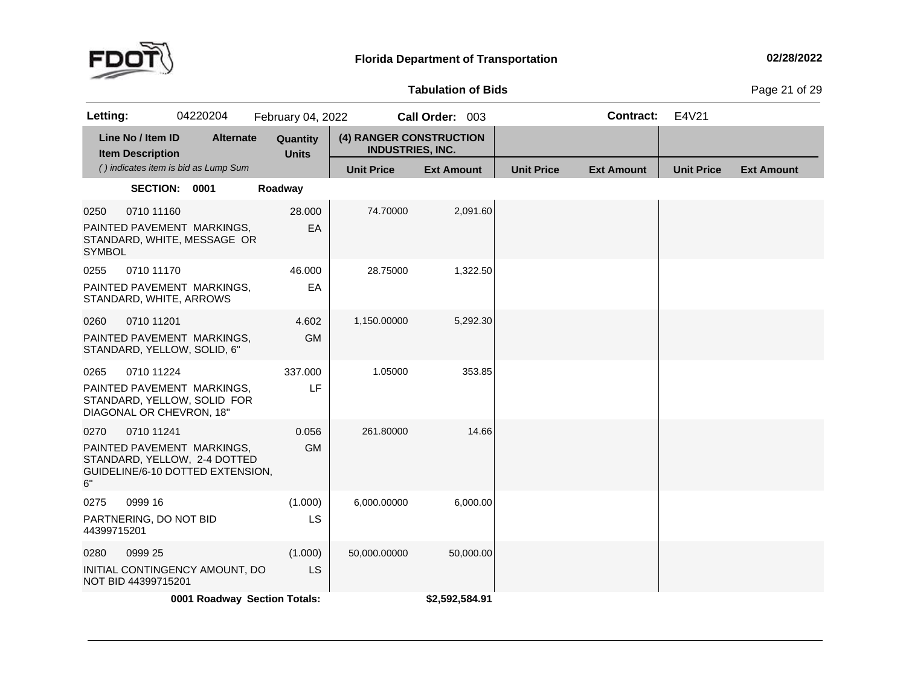

**Tabulation**

**of Bids** Page <sup>21</sup> of <sup>29</sup>

| Letting:                                                                                                     | 04220204                             |                  | February 04, 2022            |                                                    | Call Order: 003   |                   | <b>Contract:</b>  | E4V21             |                   |
|--------------------------------------------------------------------------------------------------------------|--------------------------------------|------------------|------------------------------|----------------------------------------------------|-------------------|-------------------|-------------------|-------------------|-------------------|
| Line No / Item ID<br><b>Item Description</b>                                                                 |                                      | <b>Alternate</b> | Quantity<br><b>Units</b>     | (4) RANGER CONSTRUCTION<br><b>INDUSTRIES, INC.</b> |                   |                   |                   |                   |                   |
|                                                                                                              | () indicates item is bid as Lump Sum |                  |                              | <b>Unit Price</b>                                  | <b>Ext Amount</b> | <b>Unit Price</b> | <b>Ext Amount</b> | <b>Unit Price</b> | <b>Ext Amount</b> |
|                                                                                                              | <b>SECTION:</b><br>0001              |                  | Roadway                      |                                                    |                   |                   |                   |                   |                   |
| 0250<br>PAINTED PAVEMENT MARKINGS,<br>STANDARD, WHITE, MESSAGE OR<br><b>SYMBOL</b>                           | 0710 11160                           |                  | 28.000<br>EA                 | 74.70000                                           | 2,091.60          |                   |                   |                   |                   |
| 0255<br>PAINTED PAVEMENT MARKINGS,<br>STANDARD, WHITE, ARROWS                                                | 0710 11170                           |                  | 46.000<br>EA                 | 28.75000                                           | 1,322.50          |                   |                   |                   |                   |
| 0260<br>PAINTED PAVEMENT MARKINGS,<br>STANDARD, YELLOW, SOLID, 6"                                            | 0710 11201                           |                  | 4.602<br><b>GM</b>           | 1,150.00000                                        | 5,292.30          |                   |                   |                   |                   |
| 0265<br>PAINTED PAVEMENT MARKINGS,<br>STANDARD, YELLOW, SOLID FOR<br>DIAGONAL OR CHEVRON, 18"                | 0710 11224                           |                  | 337.000<br>LF                | 1.05000                                            | 353.85            |                   |                   |                   |                   |
| 0270<br>PAINTED PAVEMENT MARKINGS,<br>STANDARD, YELLOW, 2-4 DOTTED<br>GUIDELINE/6-10 DOTTED EXTENSION,<br>6" | 0710 11241                           |                  | 0.056<br><b>GM</b>           | 261.80000                                          | 14.66             |                   |                   |                   |                   |
| 0999 16<br>0275<br>PARTNERING, DO NOT BID<br>44399715201                                                     |                                      |                  | (1.000)<br>LS                | 6,000.00000                                        | 6,000.00          |                   |                   |                   |                   |
| 0999 25<br>0280<br>INITIAL CONTINGENCY AMOUNT, DO<br>NOT BID 44399715201                                     |                                      |                  | (1.000)<br>LS                | 50,000.00000                                       | 50,000.00         |                   |                   |                   |                   |
|                                                                                                              |                                      |                  | 0001 Roadway Section Totals: |                                                    | \$2,592,584.91    |                   |                   |                   |                   |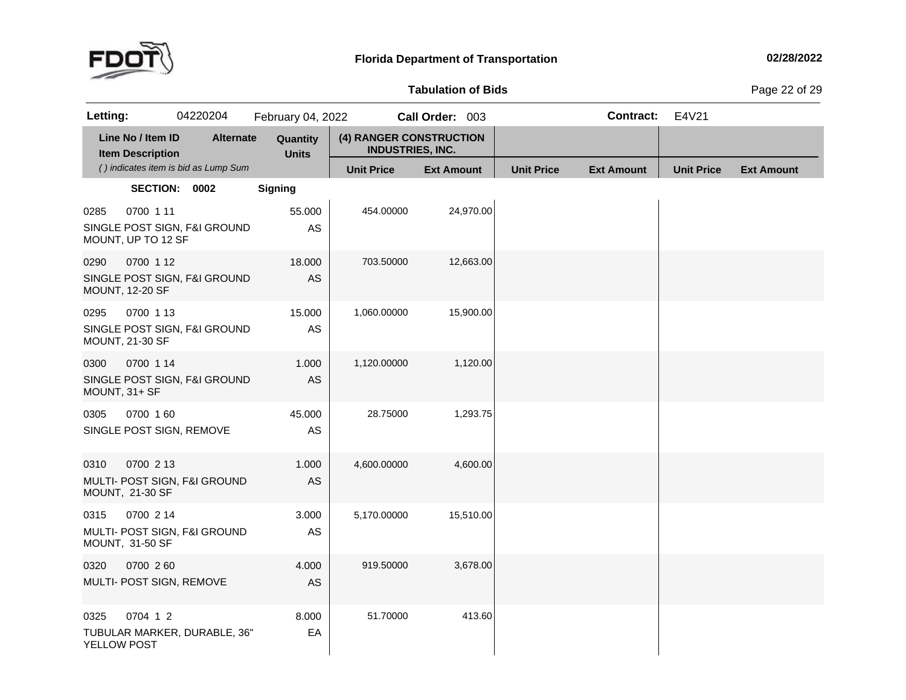

# **Tabulation**

**of Bids** Page <sup>22</sup> of <sup>29</sup>

| Letting:              |                                              | 04220204                             | February 04, 2022        |                                                    | Call Order: 003   |                   | <b>Contract:</b>  | E4V21             |                   |
|-----------------------|----------------------------------------------|--------------------------------------|--------------------------|----------------------------------------------------|-------------------|-------------------|-------------------|-------------------|-------------------|
|                       | Line No / Item ID<br><b>Item Description</b> | <b>Alternate</b>                     | Quantity<br><b>Units</b> | (4) RANGER CONSTRUCTION<br><b>INDUSTRIES, INC.</b> |                   |                   |                   |                   |                   |
|                       |                                              | () indicates item is bid as Lump Sum |                          | <b>Unit Price</b>                                  | <b>Ext Amount</b> | <b>Unit Price</b> | <b>Ext Amount</b> | <b>Unit Price</b> | <b>Ext Amount</b> |
|                       | SECTION: 0002                                |                                      | <b>Signing</b>           |                                                    |                   |                   |                   |                   |                   |
| 0285                  | 0700 1 11<br>MOUNT, UP TO 12 SF              | SINGLE POST SIGN, F&I GROUND         | 55.000<br>AS             | 454.00000                                          | 24,970.00         |                   |                   |                   |                   |
| 0290                  | 0700 1 12<br><b>MOUNT, 12-20 SF</b>          | SINGLE POST SIGN, F&I GROUND         | 18.000<br>AS             | 703.50000                                          | 12,663.00         |                   |                   |                   |                   |
| 0295                  | 0700 1 13<br><b>MOUNT, 21-30 SF</b>          | SINGLE POST SIGN, F&I GROUND         | 15.000<br>AS             | 1,060.00000                                        | 15,900.00         |                   |                   |                   |                   |
| 0300<br>MOUNT, 31+ SF | 0700 1 14                                    | SINGLE POST SIGN, F&I GROUND         | 1.000<br>AS              | 1,120.00000                                        | 1,120.00          |                   |                   |                   |                   |
| 0305                  | 0700 160                                     | SINGLE POST SIGN, REMOVE             | 45.000<br>AS             | 28.75000                                           | 1,293.75          |                   |                   |                   |                   |
| 0310                  | 0700 2 13<br>MOUNT, 21-30 SF                 | MULTI- POST SIGN, F&I GROUND         | 1.000<br>AS              | 4,600.00000                                        | 4,600.00          |                   |                   |                   |                   |
| 0315                  | 0700 2 14<br>MOUNT, 31-50 SF                 | MULTI- POST SIGN, F&I GROUND         | 3.000<br>AS              | 5,170.00000                                        | 15,510.00         |                   |                   |                   |                   |
| 0320                  | 0700 260<br>MULTI- POST SIGN, REMOVE         |                                      | 4.000<br>AS              | 919.50000                                          | 3,678.00          |                   |                   |                   |                   |
| 0325<br>YELLOW POST   | 0704 1 2                                     | TUBULAR MARKER, DURABLE, 36"         | 8.000<br>EA              | 51.70000                                           | 413.60            |                   |                   |                   |                   |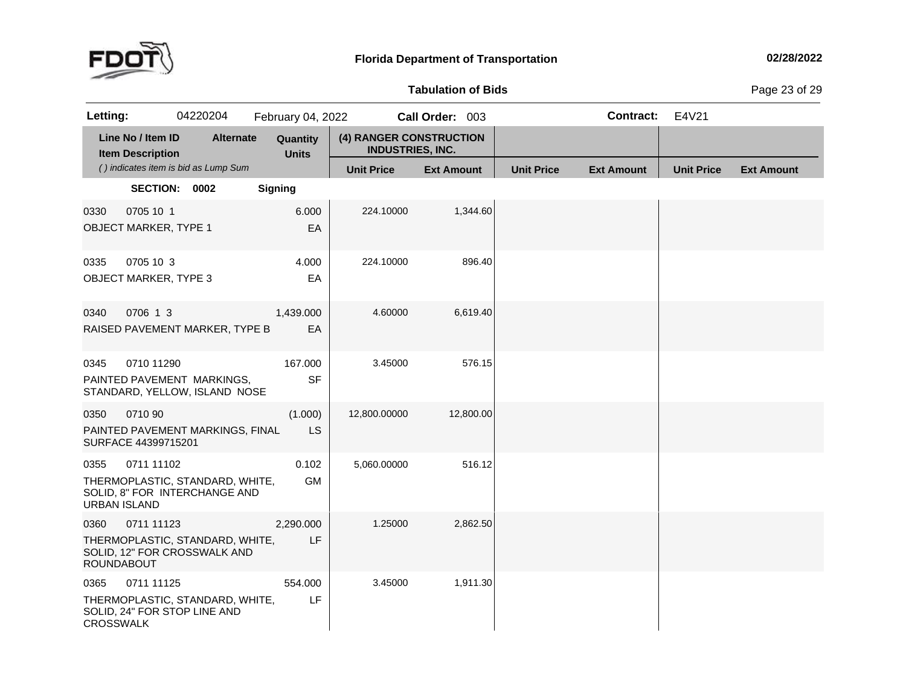

**Tabulation**

**of Bids** Page <sup>23</sup> of <sup>29</sup>

| Letting:                    |                                              | 04220204                                                         |                | February 04, 2022        |                                                    | Call Order: 003   |           |                   | <b>Contract:</b>  | E4V21             |                   |
|-----------------------------|----------------------------------------------|------------------------------------------------------------------|----------------|--------------------------|----------------------------------------------------|-------------------|-----------|-------------------|-------------------|-------------------|-------------------|
|                             | Line No / Item ID<br><b>Item Description</b> | <b>Alternate</b>                                                 |                | Quantity<br><b>Units</b> | (4) RANGER CONSTRUCTION<br><b>INDUSTRIES, INC.</b> |                   |           |                   |                   |                   |                   |
|                             |                                              | () indicates item is bid as Lump Sum                             |                |                          | <b>Unit Price</b>                                  | <b>Ext Amount</b> |           | <b>Unit Price</b> | <b>Ext Amount</b> | <b>Unit Price</b> | <b>Ext Amount</b> |
|                             | SECTION: 0002                                |                                                                  | <b>Signing</b> |                          |                                                    |                   |           |                   |                   |                   |                   |
| 0330                        | 0705 10 1<br><b>OBJECT MARKER, TYPE 1</b>    |                                                                  |                | 6.000<br>EA              | 224.10000                                          |                   | 1,344.60  |                   |                   |                   |                   |
| 0335                        | 0705 10 3<br><b>OBJECT MARKER, TYPE 3</b>    |                                                                  |                | 4.000<br>EA              | 224.10000                                          |                   | 896.40    |                   |                   |                   |                   |
| 0340                        | 0706 1 3                                     | RAISED PAVEMENT MARKER, TYPE B                                   |                | 1,439.000<br>EA          | 4.60000                                            |                   | 6,619.40  |                   |                   |                   |                   |
| 0345                        | 0710 11290                                   | PAINTED PAVEMENT MARKINGS,<br>STANDARD, YELLOW, ISLAND NOSE      |                | 167.000<br><b>SF</b>     | 3.45000                                            |                   | 576.15    |                   |                   |                   |                   |
| 0350                        | 0710 90<br>SURFACE 44399715201               | PAINTED PAVEMENT MARKINGS, FINAL                                 |                | (1.000)<br>LS            | 12,800.00000                                       |                   | 12,800.00 |                   |                   |                   |                   |
| 0355<br><b>URBAN ISLAND</b> | 0711 11102                                   | THERMOPLASTIC, STANDARD, WHITE,<br>SOLID, 8" FOR INTERCHANGE AND |                | 0.102<br><b>GM</b>       | 5,060.00000                                        |                   | 516.12    |                   |                   |                   |                   |
| 0360<br><b>ROUNDABOUT</b>   | 0711 11123                                   | THERMOPLASTIC, STANDARD, WHITE,<br>SOLID, 12" FOR CROSSWALK AND  |                | 2,290.000<br>LF          | 1.25000                                            |                   | 2,862.50  |                   |                   |                   |                   |
| 0365<br><b>CROSSWALK</b>    | 0711 11125                                   | THERMOPLASTIC, STANDARD, WHITE,<br>SOLID, 24" FOR STOP LINE AND  |                | 554.000<br>LF            | 3.45000                                            |                   | 1,911.30  |                   |                   |                   |                   |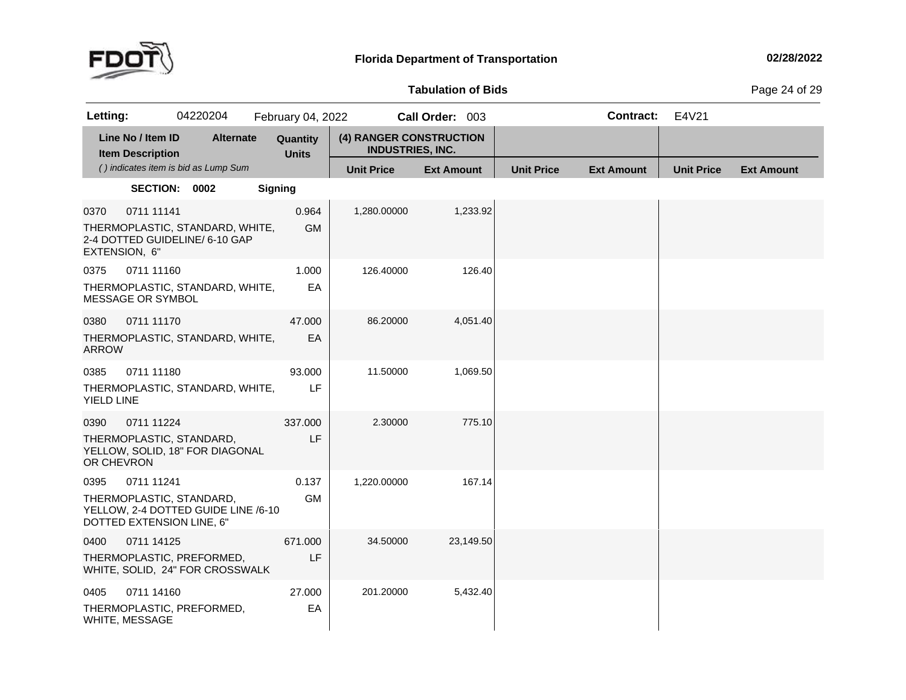

# **Tabulation**

**of Bids** Page <sup>24</sup> of <sup>29</sup>

| Letting:                                                      |                                              | 04220204                                                          |                | February 04, 2022        |                                                    | Call Order: 003   |           |                   | <b>Contract:</b>  | E4V21             |                   |
|---------------------------------------------------------------|----------------------------------------------|-------------------------------------------------------------------|----------------|--------------------------|----------------------------------------------------|-------------------|-----------|-------------------|-------------------|-------------------|-------------------|
|                                                               | Line No / Item ID<br><b>Item Description</b> | <b>Alternate</b>                                                  |                | Quantity<br><b>Units</b> | (4) RANGER CONSTRUCTION<br><b>INDUSTRIES, INC.</b> |                   |           |                   |                   |                   |                   |
|                                                               |                                              | () indicates item is bid as Lump Sum                              |                |                          | <b>Unit Price</b>                                  | <b>Ext Amount</b> |           | <b>Unit Price</b> | <b>Ext Amount</b> | <b>Unit Price</b> | <b>Ext Amount</b> |
|                                                               | SECTION: 0002                                |                                                                   | <b>Signing</b> |                          |                                                    |                   |           |                   |                   |                   |                   |
| 0370<br>EXTENSION, 6"                                         | 0711 11141                                   | THERMOPLASTIC, STANDARD, WHITE,<br>2-4 DOTTED GUIDELINE/ 6-10 GAP |                | 0.964<br><b>GM</b>       | 1,280.00000                                        |                   | 1,233.92  |                   |                   |                   |                   |
| 0375<br>MESSAGE OR SYMBOL                                     | 0711 11160                                   | THERMOPLASTIC, STANDARD, WHITE,                                   |                | 1.000<br>EA              | 126.40000                                          |                   | 126.40    |                   |                   |                   |                   |
| 0380<br><b>ARROW</b>                                          | 0711 11170                                   | THERMOPLASTIC, STANDARD, WHITE,                                   |                | 47.000<br>EA             | 86.20000                                           |                   | 4,051.40  |                   |                   |                   |                   |
| 0385<br><b>YIELD LINE</b>                                     | 0711 11180                                   | THERMOPLASTIC, STANDARD, WHITE,                                   |                | 93.000<br>LF             | 11.50000                                           |                   | 1,069.50  |                   |                   |                   |                   |
| 0390<br>THERMOPLASTIC, STANDARD,<br>OR CHEVRON                | 0711 11224                                   | YELLOW, SOLID, 18" FOR DIAGONAL                                   |                | 337.000<br>LF            | 2.30000                                            |                   | 775.10    |                   |                   |                   |                   |
| 0395<br>THERMOPLASTIC, STANDARD,<br>DOTTED EXTENSION LINE, 6" | 0711 11241                                   | YELLOW, 2-4 DOTTED GUIDE LINE /6-10                               |                | 0.137<br><b>GM</b>       | 1,220.00000                                        |                   | 167.14    |                   |                   |                   |                   |
| 0400                                                          | 0711 14125                                   | THERMOPLASTIC, PREFORMED,<br>WHITE, SOLID, 24" FOR CROSSWALK      |                | 671.000<br>LF            | 34.50000                                           |                   | 23,149.50 |                   |                   |                   |                   |
| 0405<br>WHITE, MESSAGE                                        | 0711 14160                                   | THERMOPLASTIC, PREFORMED,                                         |                | 27.000<br>EA             | 201.20000                                          |                   | 5,432.40  |                   |                   |                   |                   |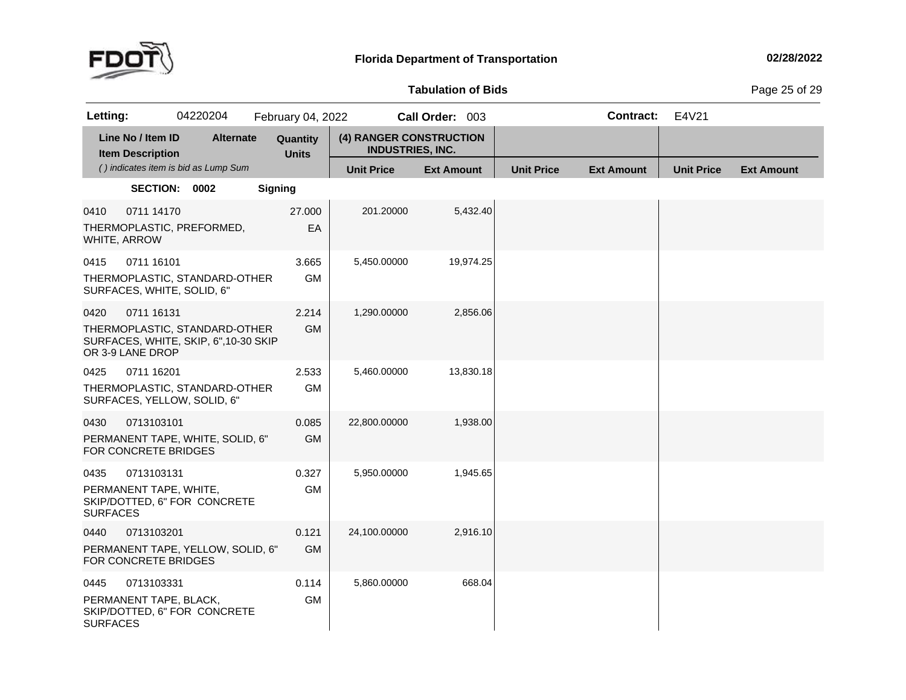

# **Tabulation**

**of Bids** Page <sup>25</sup> of <sup>29</sup>

| Letting:                |                                              | 04220204                                                               | February 04, 2022        |                                                    | Call Order: 003   |                   | <b>Contract:</b>  | E4V21             |                   |
|-------------------------|----------------------------------------------|------------------------------------------------------------------------|--------------------------|----------------------------------------------------|-------------------|-------------------|-------------------|-------------------|-------------------|
|                         | Line No / Item ID<br><b>Item Description</b> | <b>Alternate</b>                                                       | Quantity<br><b>Units</b> | (4) RANGER CONSTRUCTION<br><b>INDUSTRIES, INC.</b> |                   |                   |                   |                   |                   |
|                         |                                              | () indicates item is bid as Lump Sum                                   |                          | <b>Unit Price</b>                                  | <b>Ext Amount</b> | <b>Unit Price</b> | <b>Ext Amount</b> | <b>Unit Price</b> | <b>Ext Amount</b> |
|                         | SECTION: 0002                                |                                                                        | <b>Signing</b>           |                                                    |                   |                   |                   |                   |                   |
| 0410                    | 0711 14170<br>WHITE, ARROW                   | THERMOPLASTIC, PREFORMED,                                              | 27.000<br>EA             | 201.20000                                          | 5,432.40          |                   |                   |                   |                   |
| 0415                    | 0711 16101<br>SURFACES, WHITE, SOLID, 6"     | THERMOPLASTIC, STANDARD-OTHER                                          | 3.665<br><b>GM</b>       | 5,450.00000                                        | 19,974.25         |                   |                   |                   |                   |
| 0420                    | 0711 16131<br>OR 3-9 LANE DROP               | THERMOPLASTIC, STANDARD-OTHER<br>SURFACES, WHITE, SKIP, 6", 10-30 SKIP | 2.214<br><b>GM</b>       | 1,290.00000                                        | 2,856.06          |                   |                   |                   |                   |
| 0425                    | 0711 16201                                   | THERMOPLASTIC, STANDARD-OTHER<br>SURFACES, YELLOW, SOLID, 6"           | 2.533<br><b>GM</b>       | 5,460.00000                                        | 13,830.18         |                   |                   |                   |                   |
| 0430                    | 0713103101<br>FOR CONCRETE BRIDGES           | PERMANENT TAPE, WHITE, SOLID, 6"                                       | 0.085<br><b>GM</b>       | 22,800.00000                                       | 1,938.00          |                   |                   |                   |                   |
| 0435<br><b>SURFACES</b> | 0713103131<br>PERMANENT TAPE, WHITE,         | SKIP/DOTTED, 6" FOR CONCRETE                                           | 0.327<br><b>GM</b>       | 5,950.00000                                        | 1,945.65          |                   |                   |                   |                   |
| 0440                    | 0713103201<br>FOR CONCRETE BRIDGES           | PERMANENT TAPE, YELLOW, SOLID, 6"                                      | 0.121<br><b>GM</b>       | 24,100.00000                                       | 2,916.10          |                   |                   |                   |                   |
| 0445<br><b>SURFACES</b> | 0713103331<br>PERMANENT TAPE, BLACK,         | SKIP/DOTTED, 6" FOR CONCRETE                                           | 0.114<br><b>GM</b>       | 5,860.00000                                        | 668.04            |                   |                   |                   |                   |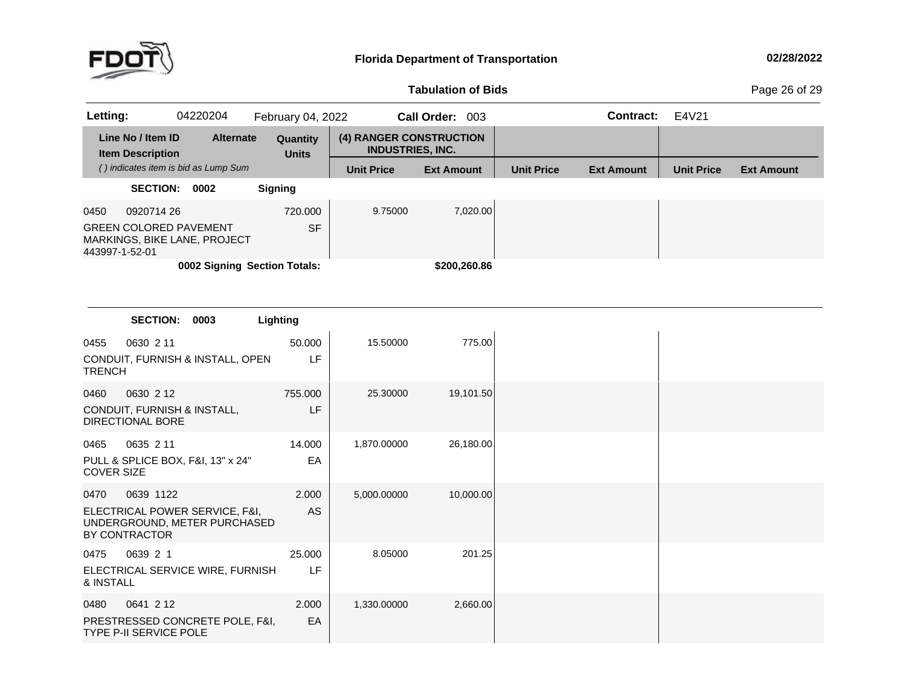

# **Tabulation**

**of Bids** Page <sup>26</sup> of <sup>29</sup>

| Letting:       |                                              | 04220204                                                      | February 04, 2022        |                                                    | <b>Call Order:</b><br>-003 |                   | Contract:         | E4V21             |                   |
|----------------|----------------------------------------------|---------------------------------------------------------------|--------------------------|----------------------------------------------------|----------------------------|-------------------|-------------------|-------------------|-------------------|
|                | Line No / Item ID<br><b>Item Description</b> | <b>Alternate</b>                                              | Quantity<br><b>Units</b> | (4) RANGER CONSTRUCTION<br><b>INDUSTRIES, INC.</b> |                            |                   |                   |                   |                   |
|                |                                              | () indicates item is bid as Lump Sum                          |                          | <b>Unit Price</b>                                  | <b>Ext Amount</b>          | <b>Unit Price</b> | <b>Ext Amount</b> | <b>Unit Price</b> | <b>Ext Amount</b> |
|                | <b>SECTION:</b>                              | 0002                                                          | <b>Signing</b>           |                                                    |                            |                   |                   |                   |                   |
| 0450           | 0920714 26                                   |                                                               | 720,000                  | 9.75000                                            | 7.020.00                   |                   |                   |                   |                   |
| 443997-1-52-01 |                                              | <b>GREEN COLORED PAVEMENT</b><br>MARKINGS, BIKE LANE, PROJECT | <b>SF</b>                |                                                    |                            |                   |                   |                   |                   |
|                |                                              | 0002 Signing Section Totals:                                  |                          |                                                    | \$200,260.86               |                   |                   |                   |                   |

|                           | <b>SECTION:</b>                                                                              | 0003 | Lighting      |             |           |
|---------------------------|----------------------------------------------------------------------------------------------|------|---------------|-------------|-----------|
| 0455<br><b>TRENCH</b>     | 0630 2 11<br>CONDUIT, FURNISH & INSTALL, OPEN                                                |      | 50.000<br>LF  | 15.50000    | 775.00    |
| 0460                      | 0630 2 12<br>CONDUIT, FURNISH & INSTALL,<br><b>DIRECTIONAL BORE</b>                          |      | 755.000<br>LF | 25,30000    | 19,101.50 |
| 0465<br><b>COVER SIZE</b> | 0635 2 11<br>PULL & SPLICE BOX, F&I, 13" x 24"                                               |      | 14.000<br>EA  | 1,870.00000 | 26,180.00 |
| 0470                      | 0639 1122<br>ELECTRICAL POWER SERVICE, F&I,<br>UNDERGROUND, METER PURCHASED<br>BY CONTRACTOR |      | 2.000<br>AS   | 5,000.00000 | 10,000.00 |
| 0475<br>& INSTALL         | 0639 2 1<br>ELECTRICAL SERVICE WIRE, FURNISH                                                 |      | 25.000<br>LF  | 8.05000     | 201.25    |
| 0480                      | 0641 2 12<br>PRESTRESSED CONCRETE POLE, F&I,<br><b>TYPE P-II SERVICE POLE</b>                |      | 2.000<br>EA   | 1,330.00000 | 2,660.00  |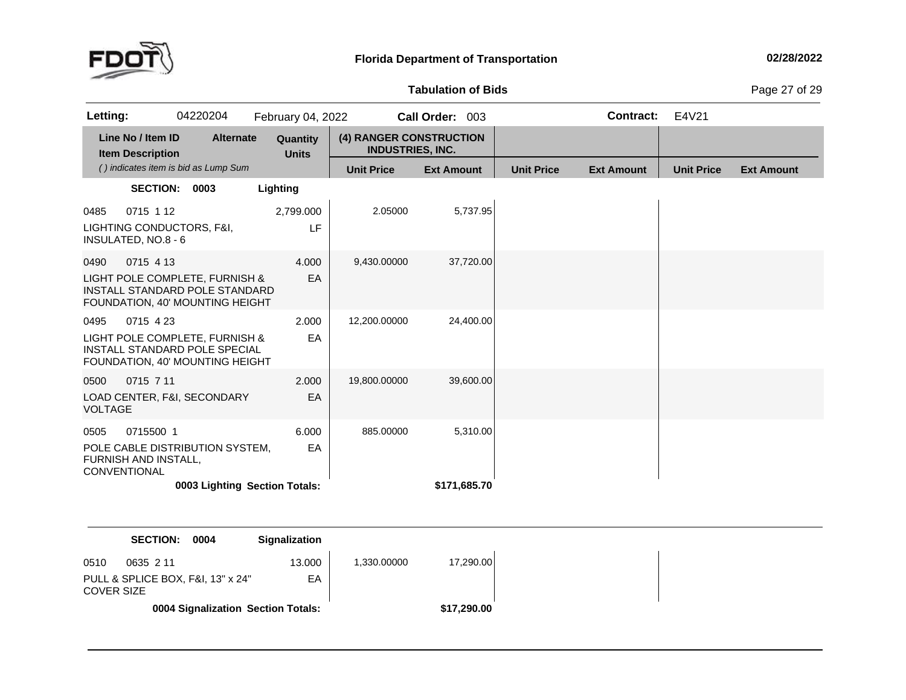

**of Bids** Page <sup>27</sup> of <sup>29</sup>

| Letting:                                                         | 04220204                                                                                            | February 04, 2022        |                                                    | Call Order: 003   |                   | Contract:         | E4V21             |                   |
|------------------------------------------------------------------|-----------------------------------------------------------------------------------------------------|--------------------------|----------------------------------------------------|-------------------|-------------------|-------------------|-------------------|-------------------|
| Line No / Item ID<br><b>Item Description</b>                     | <b>Alternate</b>                                                                                    | Quantity<br><b>Units</b> | (4) RANGER CONSTRUCTION<br><b>INDUSTRIES, INC.</b> |                   |                   |                   |                   |                   |
|                                                                  | () indicates item is bid as Lump Sum                                                                |                          | <b>Unit Price</b>                                  | <b>Ext Amount</b> | <b>Unit Price</b> | <b>Ext Amount</b> | <b>Unit Price</b> | <b>Ext Amount</b> |
|                                                                  | SECTION: 0003                                                                                       | Lighting                 |                                                    |                   |                   |                   |                   |                   |
| 0715 1 12<br>0485<br>INSULATED, NO.8 - 6                         | LIGHTING CONDUCTORS, F&I,                                                                           | 2,799.000<br>LF          | 2.05000                                            | 5,737.95          |                   |                   |                   |                   |
| 0715 4 13<br>0490                                                | LIGHT POLE COMPLETE, FURNISH &<br>INSTALL STANDARD POLE STANDARD<br>FOUNDATION, 40' MOUNTING HEIGHT | 4.000<br>EA              | 9,430.00000                                        | 37,720.00         |                   |                   |                   |                   |
| 0715 4 23<br>0495                                                | LIGHT POLE COMPLETE, FURNISH &<br>INSTALL STANDARD POLE SPECIAL<br>FOUNDATION, 40' MOUNTING HEIGHT  | 2.000<br>EA              | 12,200.00000                                       | 24,400.00         |                   |                   |                   |                   |
| 0715 7 11<br>0500<br><b>VOLTAGE</b>                              | LOAD CENTER, F&I, SECONDARY                                                                         | 2.000<br>EA              | 19,800.00000                                       | 39,600.00         |                   |                   |                   |                   |
| 0715500 1<br>0505<br><b>FURNISH AND INSTALL.</b><br>CONVENTIONAL | POLE CABLE DISTRIBUTION SYSTEM,                                                                     | 6.000<br>EA              | 885.00000                                          | 5,310.00          |                   |                   |                   |                   |
|                                                                  | 0003 Lighting Section Totals:                                                                       |                          |                                                    | \$171,685.70      |                   |                   |                   |                   |
|                                                                  |                                                                                                     |                          |                                                    |                   |                   |                   |                   |                   |
|                                                                  | <b>SECTION:</b><br>0004                                                                             | <b>Signalization</b>     |                                                    |                   |                   |                   |                   |                   |

| 0510<br>0635 2 11                               | 13.000 | 1.330.00000 | 17.290.00   |
|-------------------------------------------------|--------|-------------|-------------|
| PULL & SPLICE BOX, F&I, 13" x 24"<br>COVER SIZE | EA     |             |             |
| 0004 Signalization Section Totals:              |        |             | \$17,290.00 |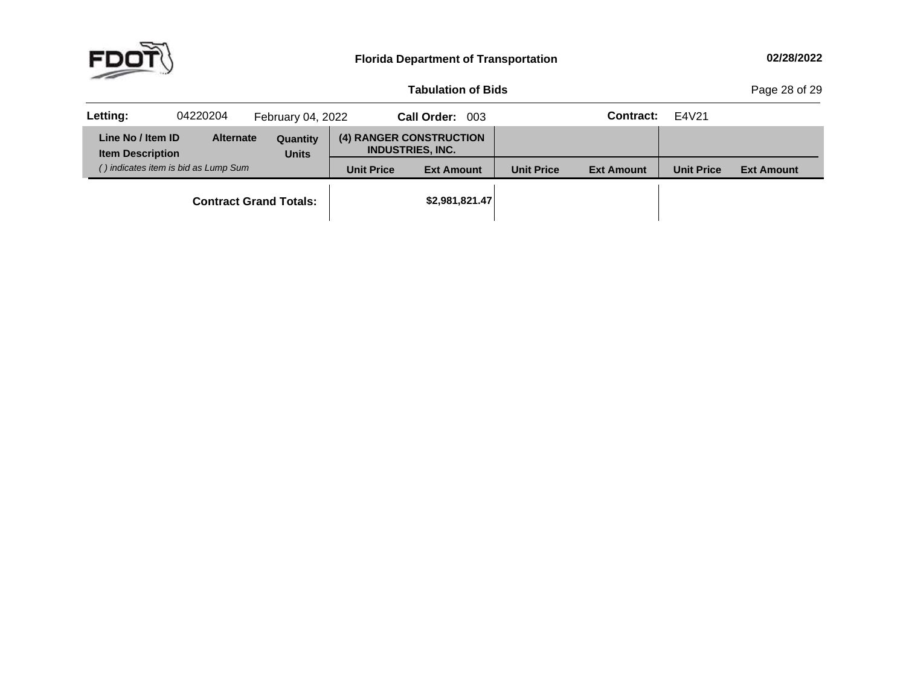

**of Bids** Page <sup>28</sup> of <sup>29</sup>

| Letting:                                     | 04220204                             | February 04, 2022             |                   | Call Order: 003                                    |                   | Contract:         | E4V21             |                   |
|----------------------------------------------|--------------------------------------|-------------------------------|-------------------|----------------------------------------------------|-------------------|-------------------|-------------------|-------------------|
| Line No / Item ID<br><b>Item Description</b> | <b>Alternate</b>                     | Quantity<br><b>Units</b>      |                   | (4) RANGER CONSTRUCTION<br><b>INDUSTRIES, INC.</b> |                   |                   |                   |                   |
|                                              | () indicates item is bid as Lump Sum |                               | <b>Unit Price</b> | <b>Ext Amount</b>                                  | <b>Unit Price</b> | <b>Ext Amount</b> | <b>Unit Price</b> | <b>Ext Amount</b> |
|                                              |                                      | <b>Contract Grand Totals:</b> |                   | \$2,981,821.47                                     |                   |                   |                   |                   |